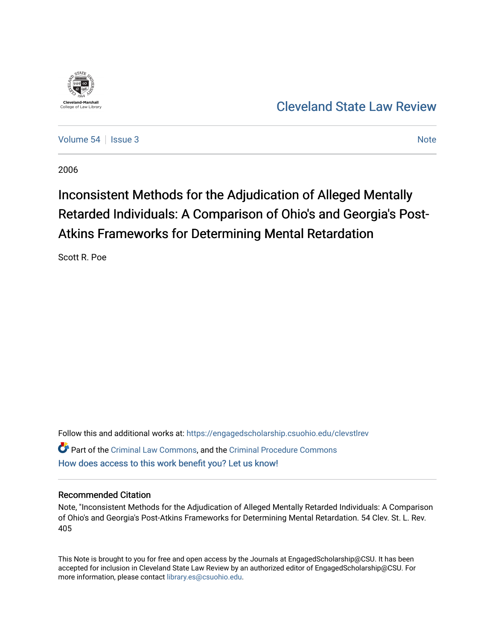

# [Cleveland State Law Review](https://engagedscholarship.csuohio.edu/clevstlrev)

[Volume 54](https://engagedscholarship.csuohio.edu/clevstlrev/vol54) | [Issue 3](https://engagedscholarship.csuohio.edu/clevstlrev/vol54/iss3) Note

2006

# Inconsistent Methods for the Adjudication of Alleged Mentally Retarded Individuals: A Comparison of Ohio's and Georgia's Post-Atkins Frameworks for Determining Mental Retardation

Scott R. Poe

Follow this and additional works at: [https://engagedscholarship.csuohio.edu/clevstlrev](https://engagedscholarship.csuohio.edu/clevstlrev?utm_source=engagedscholarship.csuohio.edu%2Fclevstlrev%2Fvol54%2Fiss3%2F8&utm_medium=PDF&utm_campaign=PDFCoverPages) Part of the [Criminal Law Commons,](http://network.bepress.com/hgg/discipline/912?utm_source=engagedscholarship.csuohio.edu%2Fclevstlrev%2Fvol54%2Fiss3%2F8&utm_medium=PDF&utm_campaign=PDFCoverPages) and the [Criminal Procedure Commons](http://network.bepress.com/hgg/discipline/1073?utm_source=engagedscholarship.csuohio.edu%2Fclevstlrev%2Fvol54%2Fiss3%2F8&utm_medium=PDF&utm_campaign=PDFCoverPages) [How does access to this work benefit you? Let us know!](http://library.csuohio.edu/engaged/)

### Recommended Citation

Note, "Inconsistent Methods for the Adjudication of Alleged Mentally Retarded Individuals: A Comparison of Ohio's and Georgia's Post-Atkins Frameworks for Determining Mental Retardation. 54 Clev. St. L. Rev. 405

This Note is brought to you for free and open access by the Journals at EngagedScholarship@CSU. It has been accepted for inclusion in Cleveland State Law Review by an authorized editor of EngagedScholarship@CSU. For more information, please contact [library.es@csuohio.edu](mailto:library.es@csuohio.edu).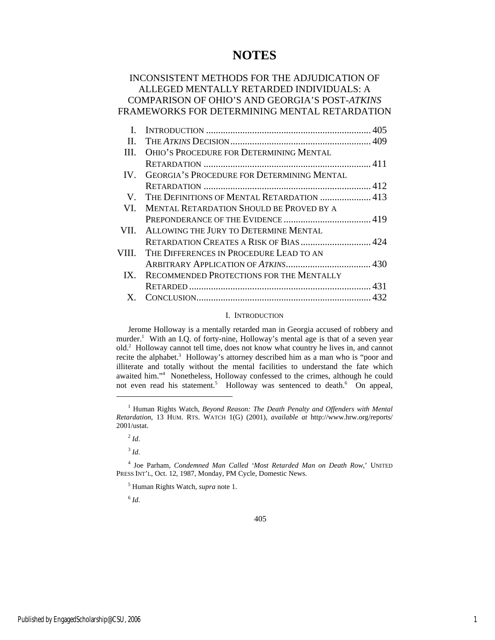## **NOTES**

## INCONSISTENT METHODS FOR THE ADJUDICATION OF ALLEGED MENTALLY RETARDED INDIVIDUALS: A COMPARISON OF OHIO'S AND GEORGIA'S POST-*ATKINS* FRAMEWORKS FOR DETERMINING MENTAL RETARDATION

| Н.       |                                                   |  |
|----------|---------------------------------------------------|--|
| Ш.       | OHIO'S PROCEDURE FOR DETERMINING MENTAL           |  |
|          |                                                   |  |
| $IV_{-}$ | <b>GEORGIA'S PROCEDURE FOR DETERMINING MENTAL</b> |  |
|          |                                                   |  |
| V.       | THE DEFINITIONS OF MENTAL RETARDATION  413        |  |
| VL.      | <b>MENTAL RETARDATION SHOULD BE PROVED BY A</b>   |  |
|          |                                                   |  |
| VII.     | ALLOWING THE JURY TO DETERMINE MENTAL             |  |
|          | RETARDATION CREATES A RISK OF BIAS  424           |  |
| VIII.    | THE DIFFERENCES IN PROCEDURE LEAD TO AN           |  |
|          |                                                   |  |
| $IX_{-}$ | RECOMMENDED PROTECTIONS FOR THE MENTALLY          |  |
|          |                                                   |  |
|          |                                                   |  |

#### I. INTRODUCTION

Jerome Holloway is a mentally retarded man in Georgia accused of robbery and murder.<sup>1</sup> With an I.Q. of forty-nine, Holloway's mental age is that of a seven year old.2 Holloway cannot tell time, does not know what country he lives in, and cannot recite the alphabet.<sup>3</sup> Holloway's attorney described him as a man who is "poor and illiterate and totally without the mental facilities to understand the fate which awaited him."4 Nonetheless, Holloway confessed to the crimes, although he could not even read his statement.<sup>5</sup> Holloway was sentenced to death.<sup>6</sup> On appeal,

j

 $3$  *Id.* 

5 Human Rights Watch, *supra* note 1.

<sup>6</sup> *Id*.

<sup>&</sup>lt;sup>1</sup> Human Rights Watch, *Beyond Reason: The Death Penalty and Offenders with Mental Retardation*, 13 HUM. RTS. WATCH 1(G) (2001), *available at* http://www.hrw.org/reports/ 2001/ustat.

 $^{2}$  *Id*.

<sup>&</sup>lt;sup>4</sup> Joe Parham, *Condemned Man Called 'Most Retarded Man on Death Row*,' UNITED PRESS INT'L, Oct. 12, 1987, Monday, PM Cycle, Domestic News.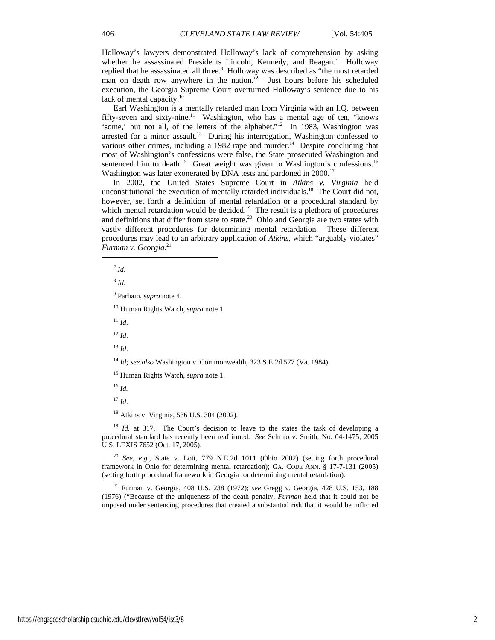Holloway's lawyers demonstrated Holloway's lack of comprehension by asking whether he assassinated Presidents Lincoln, Kennedy, and Reagan.<sup>7</sup> Holloway replied that he assassinated all three.<sup>8</sup> Holloway was described as "the most retarded man on death row anywhere in the nation."<sup>9</sup> Just hours before his scheduled execution, the Georgia Supreme Court overturned Holloway's sentence due to his lack of mental capacity.<sup>10</sup>

Earl Washington is a mentally retarded man from Virginia with an I.Q. between fifty-seven and sixty-nine.<sup>11</sup> Washington, who has a mental age of ten, "knows" 'some,' but not all, of the letters of the alphabet."<sup>12</sup> In 1983, Washington was arrested for a minor assault.<sup>13</sup> During his interrogation, Washington confessed to various other crimes, including a 1982 rape and murder.<sup>14</sup> Despite concluding that most of Washington's confessions were false, the State prosecuted Washington and sentenced him to death.<sup>15</sup> Great weight was given to Washington's confessions.<sup>16</sup> Washington was later exonerated by DNA tests and pardoned in 2000.<sup>17</sup>

In 2002, the United States Supreme Court in *Atkins v. Virginia* held unconstitutional the execution of mentally retarded individuals.<sup>18</sup> The Court did not, however, set forth a definition of mental retardation or a procedural standard by which mental retardation would be decided.<sup>19</sup> The result is a plethora of procedures and definitions that differ from state to state.<sup>20</sup> Ohio and Georgia are two states with vastly different procedures for determining mental retardation. These different procedures may lead to an arbitrary application of *Atkins*, which "arguably violates" *Furman v. Georgia*. 21

<sup>7</sup> *Id*.

j

<sup>8</sup> *Id*.

9 Parham, *supra* note 4.

10 Human Rights Watch, *supra* note 1.

 $11 H$ 

 $12 \, H$ 

<sup>13</sup> *Id*.

<sup>14</sup> *Id; see also* Washington v. Commonwealth, 323 S.E.2d 577 (Va. 1984).

15 Human Rights Watch, *supra* note 1.

<sup>16</sup> *Id.*

<sup>17</sup> *Id*.

18 Atkins v. Virginia, 536 U.S. 304 (2002).

<sup>19</sup> *Id.* at 317. The Court's decision to leave to the states the task of developing a procedural standard has recently been reaffirmed. *See* Schriro v. Smith, No. 04-1475, 2005 U.S. LEXIS 7652 (Oct. 17, 2005).

<sup>20</sup> *See, e.g.,* State v. Lott, 779 N.E.2d 1011 (Ohio 2002) (setting forth procedural framework in Ohio for determining mental retardation); GA. CODE ANN. § 17-7-131 (2005) (setting forth procedural framework in Georgia for determining mental retardation).

21 Furman v. Georgia, 408 U.S. 238 (1972); *see* Gregg v. Georgia, 428 U.S. 153, 188 (1976) ("Because of the uniqueness of the death penalty, *Furman* held that it could not be imposed under sentencing procedures that created a substantial risk that it would be inflicted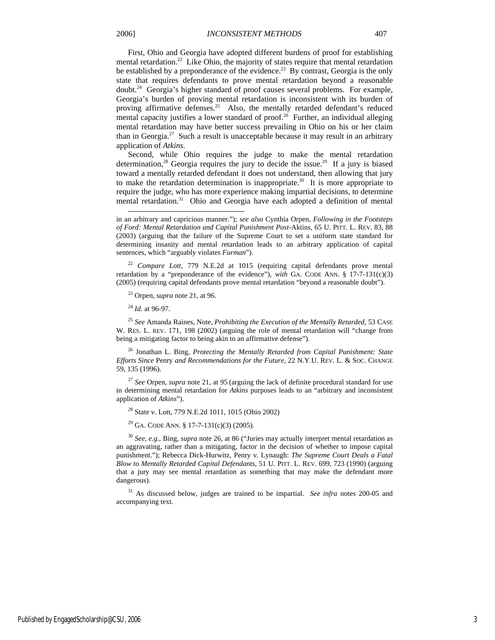First, Ohio and Georgia have adopted different burdens of proof for establishing mental retardation.<sup>22</sup> Like Ohio, the majority of states require that mental retardation be established by a preponderance of the evidence.<sup>23</sup> By contrast, Georgia is the only state that requires defendants to prove mental retardation beyond a reasonable doubt.24 Georgia's higher standard of proof causes several problems. For example, Georgia's burden of proving mental retardation is inconsistent with its burden of proving affirmative defenses.<sup>25</sup> Also, the mentally retarded defendant's reduced mental capacity justifies a lower standard of proof.<sup>26</sup> Further, an individual alleging

application of *Atkins.*  Second, while Ohio requires the judge to make the mental retardation determination,<sup>28</sup> Georgia requires the jury to decide the issue.<sup>29</sup> If a jury is biased toward a mentally retarded defendant it does not understand, then allowing that jury to make the retardation determination is inappropriate.<sup>30</sup> It is more appropriate to require the judge, who has more experience making impartial decisions, to determine mental retardation.<sup>31</sup> Ohio and Georgia have each adopted a definition of mental

mental retardation may have better success prevailing in Ohio on his or her claim than in Georgia.<sup>27</sup> Such a result is unacceptable because it may result in an arbitrary

<sup>22</sup> *Compare Lott*, 779 N.E.2d at 1015 (requiring capital defendants prove mental retardation by a "preponderance of the evidence"), *with* GA. CODE ANN. § 17-7-131(c)(3) (2005) (requiring capital defendants prove mental retardation "beyond a reasonable doubt").

23 Orpen, *supra* note 21, at 96.

<sup>24</sup> *Id.* at 96-97.

l

<sup>25</sup> *See* Amanda Raines, Note, *Prohibiting the Execution of the Mentally Retarded,* 53 CASE W. RES. L. REV. 171, 198 (2002) (arguing the role of mental retardation will "change from being a mitigating factor to being akin to an affirmative defense").

26 Jonathan L. Bing, *Protecting the Mentally Retarded from Capital Punishment: State Efforts Since* Penry *and Recommendations for the Future*, 22 N.Y.U. REV. L. & SOC. CHANGE 59, 135 (1996).

<sup>27</sup> *See* Orpen, *supra* note 21, at 95 (arguing the lack of definite procedural standard for use in determining mental retardation for *Atkins* purposes leads to an "arbitrary and inconsistent application of *Atkins*").

28 State v. Lott, 779 N.E.2d 1011, 1015 (Ohio 2002)

<sup>29</sup> GA. CODE ANN. § 17-7-131(c)(3) (2005).

<sup>30</sup> *See, e.g.*, Bing, *supra* note 26, at 86 ("Juries may actually interpret mental retardation as an aggravating, rather than a mitigating, factor in the decision of whether to impose capital punishment."); Rebecca Dick-Hurwitz, Penry v. Lynaugh: *The Supreme Court Deals a Fatal Blow to Mentally Retarded Capital Defendants*, 51 U. PITT. L. REV. 699, 723 (1990) (arguing that a jury may see mental retardation as something that may make the defendant more dangerous).

31 As discussed below, judges are trained to be impartial. *See infra* notes 200-05 and accompanying text.

in an arbitrary and capricious manner."); *see also* Cynthia Orpen, *Following in the Footsteps of Ford: Mental Retardation and Capital Punishment Post-*Aktins, 65 U. PITT. L. REV. 83, 88 (2003) (arguing that the failure of the Supreme Court to set a uniform state standard for determining insanity and mental retardation leads to an arbitrary application of capital sentences, which "arguably violates *Furman*").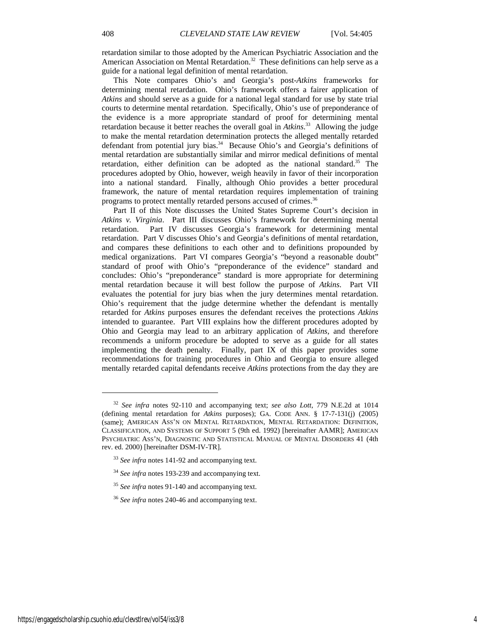retardation similar to those adopted by the American Psychiatric Association and the American Association on Mental Retardation.<sup>32</sup> These definitions can help serve as a guide for a national legal definition of mental retardation.

This Note compares Ohio's and Georgia's post-*Atkins* frameworks for determining mental retardation. Ohio's framework offers a fairer application of *Atkins* and should serve as a guide for a national legal standard for use by state trial courts to determine mental retardation. Specifically, Ohio's use of preponderance of the evidence is a more appropriate standard of proof for determining mental retardation because it better reaches the overall goal in *Atkins*. 33 Allowing the judge to make the mental retardation determination protects the alleged mentally retarded defendant from potential jury bias.<sup>34</sup> Because Ohio's and Georgia's definitions of mental retardation are substantially similar and mirror medical definitions of mental retardation, either definition can be adopted as the national standard.<sup>35</sup> The procedures adopted by Ohio, however, weigh heavily in favor of their incorporation into a national standard. Finally, although Ohio provides a better procedural framework, the nature of mental retardation requires implementation of training programs to protect mentally retarded persons accused of crimes.<sup>36</sup>

Part II of this Note discusses the United States Supreme Court's decision in *Atkins v. Virginia*. Part III discusses Ohio's framework for determining mental retardation. Part IV discusses Georgia's framework for determining mental retardation. Part V discusses Ohio's and Georgia's definitions of mental retardation, and compares these definitions to each other and to definitions propounded by medical organizations. Part VI compares Georgia's "beyond a reasonable doubt" standard of proof with Ohio's "preponderance of the evidence" standard and concludes: Ohio's "preponderance" standard is more appropriate for determining mental retardation because it will best follow the purpose of *Atkins*. Part VII evaluates the potential for jury bias when the jury determines mental retardation. Ohio's requirement that the judge determine whether the defendant is mentally retarded for *Atkins* purposes ensures the defendant receives the protections *Atkins*  intended to guarantee. Part VIII explains how the different procedures adopted by Ohio and Georgia may lead to an arbitrary application of *Atkins*, and therefore recommends a uniform procedure be adopted to serve as a guide for all states implementing the death penalty. Finally, part IX of this paper provides some recommendations for training procedures in Ohio and Georgia to ensure alleged mentally retarded capital defendants receive *Atkins* protections from the day they are

1

<sup>32</sup> *See infra* notes 92-110 and accompanying text; *see also Lott*, 779 N.E.2d at 1014 (defining mental retardation for *Atkins* purposes); GA. CODE ANN. § 17-7-131(j) (2005) (same); AMERICAN ASS'N ON MENTAL RETARDATION, MENTAL RETARDATION: DEFINITION, CLASSIFICATION, AND SYSTEMS OF SUPPORT 5 (9th ed. 1992) [hereinafter AAMR]; AMERICAN PSYCHIATRIC ASS'N, DIAGNOSTIC AND STATISTICAL MANUAL OF MENTAL DISORDERS 41 (4th rev. ed. 2000) [hereinafter DSM-IV-TR].

<sup>33</sup> *See infra* notes 141-92 and accompanying text.

<sup>34</sup> *See infra* notes 193-239 and accompanying text.

<sup>&</sup>lt;sup>35</sup> See infra notes 91-140 and accompanying text.

<sup>36</sup> *See infra* notes 240-46 and accompanying text.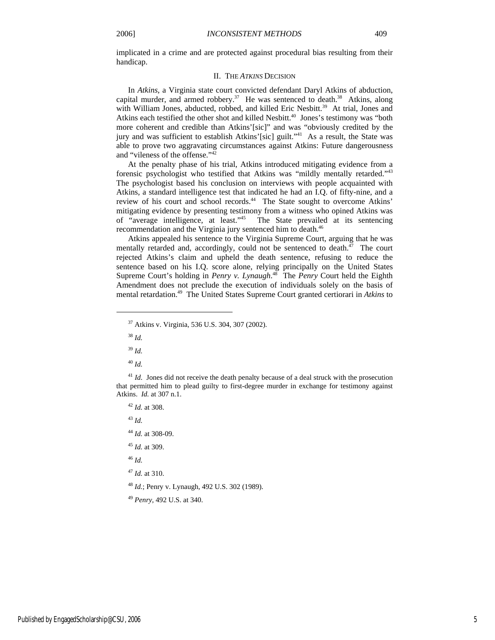implicated in a crime and are protected against procedural bias resulting from their handicap.

#### II. THE *ATKINS* DECISION

In *Atkins*, a Virginia state court convicted defendant Daryl Atkins of abduction, capital murder, and armed robbery.<sup>37</sup> He was sentenced to death.<sup>38</sup> Atkins, along with William Jones, abducted, robbed, and killed Eric Nesbitt.<sup>39</sup> At trial, Jones and Atkins each testified the other shot and killed Nesbitt.<sup>40</sup> Jones's testimony was "both more coherent and credible than Atkins'[sic]" and was "obviously credited by the jury and was sufficient to establish Atkins'[sic] guilt."41 As a result, the State was able to prove two aggravating circumstances against Atkins: Future dangerousness and "vileness of the offense."42

At the penalty phase of his trial, Atkins introduced mitigating evidence from a forensic psychologist who testified that Atkins was "mildly mentally retarded."43 The psychologist based his conclusion on interviews with people acquainted with Atkins, a standard intelligence test that indicated he had an I.Q. of fifty-nine, and a review of his court and school records.<sup>44</sup> The State sought to overcome Atkins' mitigating evidence by presenting testimony from a witness who opined Atkins was of "average intelligence, at least."45 The State prevailed at its sentencing recommendation and the Virginia jury sentenced him to death.<sup>46</sup>

Atkins appealed his sentence to the Virginia Supreme Court, arguing that he was mentally retarded and, accordingly, could not be sentenced to death. $47$  The court rejected Atkins's claim and upheld the death sentence, refusing to reduce the sentence based on his I.Q. score alone, relying principally on the United States Supreme Court's holding in *Penry v. Lynaugh*. 48 The *Penry* Court held the Eighth Amendment does not preclude the execution of individuals solely on the basis of mental retardation.49 The United States Supreme Court granted certiorari in *Atkins* to

j

<sup>41</sup> *Id.* Jones did not receive the death penalty because of a deal struck with the prosecution that permitted him to plead guilty to first-degree murder in exchange for testimony against Atkins. *Id.* at 307 n.1.

<sup>42</sup> *Id.* at 308.

<sup>43</sup> *Id.* 

<sup>44</sup> *Id.* at 308-09.

<sup>45</sup> *Id.* at 309.

<sup>46</sup> *Id.* 

<sup>47</sup> *Id.* at 310.

<sup>48</sup> *Id.*; Penry v. Lynaugh, 492 U.S. 302 (1989).

<sup>49</sup> *Penry*, 492 U.S. at 340.

<sup>37</sup> Atkins v. Virginia, 536 U.S. 304, 307 (2002).

<sup>38</sup> *Id.* 

<sup>39</sup> *Id.* 

<sup>40</sup> *Id.*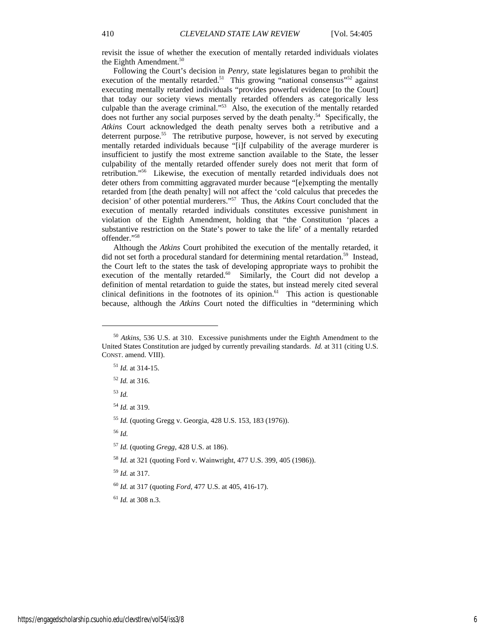revisit the issue of whether the execution of mentally retarded individuals violates the Eighth Amendment.<sup>50</sup>

Following the Court's decision in *Penry*, state legislatures began to prohibit the execution of the mentally retarded.<sup>51</sup> This growing "national consensus"<sup>52</sup> against executing mentally retarded individuals "provides powerful evidence [to the Court] that today our society views mentally retarded offenders as categorically less culpable than the average criminal."53 Also, the execution of the mentally retarded does not further any social purposes served by the death penalty.<sup>54</sup> Specifically, the *Atkins* Court acknowledged the death penalty serves both a retributive and a deterrent purpose.<sup>55</sup> The retributive purpose, however, is not served by executing mentally retarded individuals because "[i]f culpability of the average murderer is insufficient to justify the most extreme sanction available to the State, the lesser culpability of the mentally retarded offender surely does not merit that form of retribution."56 Likewise, the execution of mentally retarded individuals does not deter others from committing aggravated murder because "[e]xempting the mentally retarded from [the death penalty] will not affect the 'cold calculus that precedes the decision' of other potential murderers."57 Thus, the *Atkins* Court concluded that the execution of mentally retarded individuals constitutes excessive punishment in violation of the Eighth Amendment, holding that "the Constitution 'places a substantive restriction on the State's power to take the life' of a mentally retarded offender."58

Although the *Atkins* Court prohibited the execution of the mentally retarded, it did not set forth a procedural standard for determining mental retardation.<sup>59</sup> Instead, the Court left to the states the task of developing appropriate ways to prohibit the execution of the mentally retarded.<sup>60</sup> Similarly, the Court did not develop a definition of mental retardation to guide the states, but instead merely cited several clinical definitions in the footnotes of its opinion. $61$  This action is questionable because, although the *Atkins* Court noted the difficulties in "determining which

<sup>52</sup> *Id.* at 316.

<sup>53</sup> *Id.* 

j

<sup>54</sup> *Id.* at 319.

<sup>55</sup> *Id.* (quoting Gregg v. Georgia, 428 U.S. 153, 183 (1976)).

<sup>56</sup> *Id.* 

<sup>57</sup> *Id.* (quoting *Gregg*, 428 U.S. at 186).

<sup>58</sup> *Id.* at 321 (quoting Ford v. Wainwright, 477 U.S. 399, 405 (1986)).

<sup>59</sup> *Id.* at 317.

<sup>60</sup> *Id.* at 317 (quoting *Ford*, 477 U.S. at 405, 416-17).

<sup>61</sup> *Id.* at 308 n.3.

<sup>50</sup> *Atkins*, 536 U.S. at 310. Excessive punishments under the Eighth Amendment to the United States Constitution are judged by currently prevailing standards. *Id.* at 311 (citing U.S. CONST. amend. VIII).

<sup>51</sup> *Id.* at 314-15.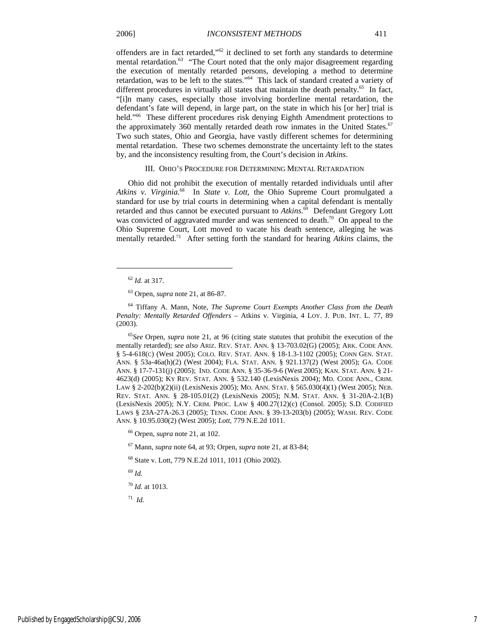offenders are in fact retarded,"62 it declined to set forth any standards to determine mental retardation.<sup>63</sup> "The Court noted that the only major disagreement regarding the execution of mentally retarded persons, developing a method to determine retardation, was to be left to the states."64 This lack of standard created a variety of different procedures in virtually all states that maintain the death penalty.<sup>65</sup> In fact, "[i]n many cases, especially those involving borderline mental retardation, the defendant's fate will depend, in large part, on the state in which his [or her] trial is held."<sup>66</sup> These different procedures risk denying Eighth Amendment protections to the approximately 360 mentally retarded death row inmates in the United States. $67$ Two such states, Ohio and Georgia, have vastly different schemes for determining mental retardation. These two schemes demonstrate the uncertainty left to the states by, and the inconsistency resulting from, the Court's decision in *Atkins*.

#### III. OHIO'S PROCEDURE FOR DETERMINING MENTAL RETARDATION

Ohio did not prohibit the execution of mentally retarded individuals until after *Atkins v. Virginia.*68 In *State v. Lott*, the Ohio Supreme Court promulgated a standard for use by trial courts in determining when a capital defendant is mentally retarded and thus cannot be executed pursuant to *Atkins*. 69 Defendant Gregory Lott was convicted of aggravated murder and was sentenced to death.<sup>70</sup> On appeal to the Ohio Supreme Court, Lott moved to vacate his death sentence, alleging he was mentally retarded.71 After setting forth the standard for hearing *Atkins* claims, the

j

64 Tiffany A. Mann, Note, *The Supreme Court Exempts Another Class from the Death Penalty: Mentally Retarded Offenders –* Atkins v. Virginia, 4 LOY. J. PUB. INT. L. 77, 89 (2003).

<sup>65</sup>*See* Orpen, *supra* note 21, at 96 (citing state statutes that prohibit the execution of the mentally retarded); *see also* ARIZ. REV. STAT. ANN. § 13-703.02(G) (2005); ARK. CODE ANN. § 5-4-618(C) (West 2005); COLO. REV. STAT. ANN. § 18-1.3-1102 (2005); CONN GEN. STAT. ANN. § 53a-46a(h)(2) (West 2004); FLA. STAT. ANN. § 921.137(2) (West 2005); GA. CODE ANN. § 17-7-131(j) (2005); IND. CODE ANN. § 35-36-9-6 (West 2005); KAN. STAT. ANN. § 21- 4623(d) (2005); KY REV. STAT. ANN. § 532.140 (LexisNexis 2004); MD. CODE ANN., CRIM. LAW § 2-202(b)(2)(ii) (LexisNexis 2005); MO. ANN. STAT. § 565.030(4)(1) (West 2005); NEB. REV. STAT. ANN. § 28-105.01(2) (LexisNexis 2005); N.M. STAT. ANN. § 31-20A-2.1(B) (LexisNexis 2005); N.Y. CRIM. PROC. LAW § 400.27(12)(c) (Consol. 2005); S.D. CODIFIED LAWS § 23A-27A-26.3 (2005); TENN. CODE ANN. § 39-13-203(b) (2005); WASH. REV. CODE ANN. § 10.95.030(2) (West 2005); *Lott*, 779 N.E.2d 1011.

66 Orpen, *supra* note 21, at 102.

67 Mann, *supra* note 64, at 93; Orpen, *supra* note 21, at 83-84;

68 State v. Lott, 779 N.E.2d 1011, 1011 (Ohio 2002).

<sup>69</sup> *Id.*

<sup>70</sup> *Id.* at 1013.

 $71$  *Id.* 

<sup>62</sup> *Id.* at 317.

<sup>63</sup> Orpen, *supra* note 21, at 86-87.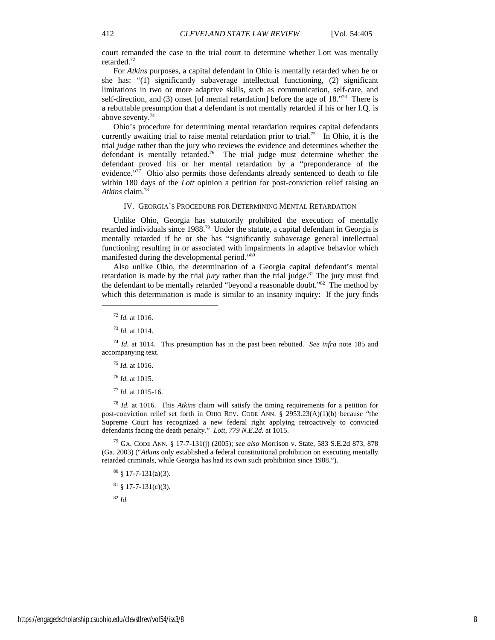court remanded the case to the trial court to determine whether Lott was mentally retarded.72

For *Atkins* purposes, a capital defendant in Ohio is mentally retarded when he or she has: "(1) significantly subaverage intellectual functioning, (2) significant limitations in two or more adaptive skills, such as communication, self-care, and self-direction, and (3) onset [of mental retardation] before the age of 18.<sup>73</sup> There is a rebuttable presumption that a defendant is not mentally retarded if his or her I.Q. is above seventy.74

Ohio's procedure for determining mental retardation requires capital defendants currently awaiting trial to raise mental retardation prior to trial.<sup>75</sup> In Ohio, it is the trial *judge* rather than the jury who reviews the evidence and determines whether the defendant is mentally retarded.<sup>76</sup> The trial judge must determine whether the defendant proved his or her mental retardation by a "preponderance of the evidence."<sup>77</sup> Ohio also permits those defendants already sentenced to death to file within 180 days of the *Lott* opinion a petition for post-conviction relief raising an *Atkins* claim.78

#### IV. GEORGIA'S PROCEDURE FOR DETERMINING MENTAL RETARDATION

Unlike Ohio, Georgia has statutorily prohibited the execution of mentally retarded individuals since 1988.<sup>79</sup> Under the statute, a capital defendant in Georgia is mentally retarded if he or she has "significantly subaverage general intellectual functioning resulting in or associated with impairments in adaptive behavior which manifested during the developmental period."80

Also unlike Ohio, the determination of a Georgia capital defendant's mental retardation is made by the trial *jury* rather than the trial judge.<sup>81</sup> The jury must find the defendant to be mentally retarded "beyond a reasonable doubt."82 The method by which this determination is made is similar to an insanity inquiry: If the jury finds

j

<sup>74</sup> *Id.* at 1014. This presumption has in the past been rebutted. *See infra* note 185 and accompanying text.

<sup>75</sup> *Id.* at 1016.

<sup>76</sup> *Id.* at 1015.

<sup>77</sup> *Id.* at 1015-16.

<sup>78</sup> *Id.* at 1016. This *Atkins* claim will satisfy the timing requirements for a petition for post-conviction relief set forth in OHIO REV. CODE ANN. § 2953.23(A)(1)(b) because "the Supreme Court has recognized a new federal right applying retroactively to convicted defendants facing the death penalty." *Lott, 779 N.E.2d.* at 1015.

79 GA. CODE ANN. § 17-7-131(j) (2005); *see also* Morrison v. State, 583 S.E.2d 873, 878 (Ga. 2003) ("*Atkins* only established a federal constitutional prohibition on executing mentally retarded criminals, while Georgia has had its own such prohibition since 1988.").

 $80 \text{ }$  \$ 17-7-131(a)(3).

 $81$  § 17-7-131(c)(3).

 $82$  *Id.* 

<sup>72</sup> *Id.* at 1016.

<sup>73</sup> *Id.* at 1014.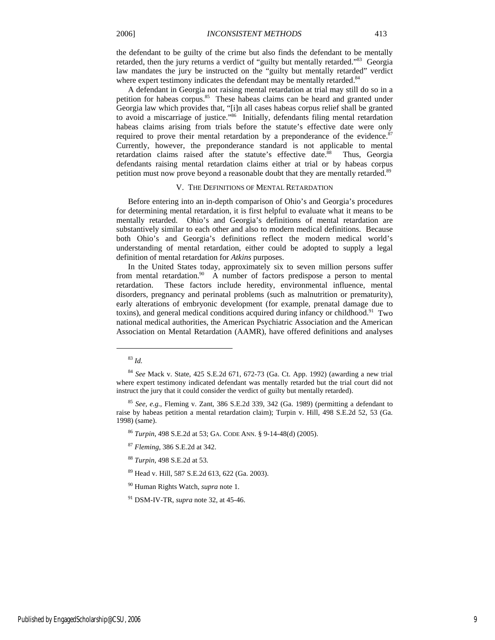the defendant to be guilty of the crime but also finds the defendant to be mentally retarded, then the jury returns a verdict of "guilty but mentally retarded."<sup>83</sup> Georgia law mandates the jury be instructed on the "guilty but mentally retarded" verdict where expert testimony indicates the defendant may be mentally retarded.<sup>84</sup>

A defendant in Georgia not raising mental retardation at trial may still do so in a petition for habeas corpus.<sup>85</sup> These habeas claims can be heard and granted under Georgia law which provides that, "[i]n all cases habeas corpus relief shall be granted to avoid a miscarriage of justice."86 Initially, defendants filing mental retardation habeas claims arising from trials before the statute's effective date were only required to prove their mental retardation by a preponderance of the evidence. $87$ Currently, however, the preponderance standard is not applicable to mental retardation claims raised after the statute's effective date.<sup>88</sup> Thus, Georgia defendants raising mental retardation claims either at trial or by habeas corpus petition must now prove beyond a reasonable doubt that they are mentally retarded.<sup>89</sup>

#### V. THE DEFINITIONS OF MENTAL RETARDATION

Before entering into an in-depth comparison of Ohio's and Georgia's procedures for determining mental retardation, it is first helpful to evaluate what it means to be mentally retarded. Ohio's and Georgia's definitions of mental retardation are substantively similar to each other and also to modern medical definitions. Because both Ohio's and Georgia's definitions reflect the modern medical world's understanding of mental retardation, either could be adopted to supply a legal definition of mental retardation for *Atkins* purposes.

In the United States today, approximately six to seven million persons suffer from mental retardation.<sup>90</sup> A number of factors predispose a person to mental retardation. These factors include heredity, environmental influence, mental disorders, pregnancy and perinatal problems (such as malnutrition or prematurity), early alterations of embryonic development (for example, prenatal damage due to toxins), and general medical conditions acquired during infancy or childhood.<sup>91</sup> Two national medical authorities, the American Psychiatric Association and the American Association on Mental Retardation (AAMR), have offered definitions and analyses

j

- <sup>88</sup> *Turpin*, 498 S.E.2d at 53.
- 89 Head v. Hill, 587 S.E.2d 613, 622 (Ga. 2003).
- 90 Human Rights Watch, *supra* note 1.

<sup>83</sup> *Id.*

<sup>84</sup> *See* Mack v. State, 425 S.E.2d 671, 672-73 (Ga. Ct. App. 1992) (awarding a new trial where expert testimony indicated defendant was mentally retarded but the trial court did not instruct the jury that it could consider the verdict of guilty but mentally retarded).

<sup>85</sup> *See, e.g.*, Fleming v. Zant, 386 S.E.2d 339, 342 (Ga. 1989) (permitting a defendant to raise by habeas petition a mental retardation claim); Turpin v. Hill, 498 S.E.2d 52, 53 (Ga. 1998) (same).

<sup>86</sup> *Turpin*, 498 S.E.2d at 53; GA. CODE ANN. § 9-14-48(d) (2005).

<sup>87</sup> *Fleming*, 386 S.E.2d at 342.

<sup>91</sup> DSM-IV-TR, *supra* note 32, at 45-46.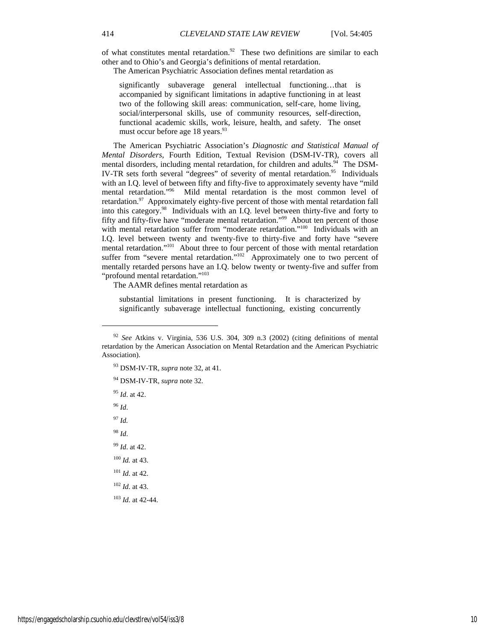of what constitutes mental retardation.<sup>92</sup> These two definitions are similar to each other and to Ohio's and Georgia's definitions of mental retardation.

The American Psychiatric Association defines mental retardation as

significantly subaverage general intellectual functioning…that is accompanied by significant limitations in adaptive functioning in at least two of the following skill areas: communication, self-care, home living, social/interpersonal skills, use of community resources, self-direction, functional academic skills, work, leisure, health, and safety. The onset must occur before age 18 years.<sup>93</sup>

The American Psychiatric Association's *Diagnostic and Statistical Manual of Mental Disorders*, Fourth Edition, Textual Revision (DSM-IV-TR), covers all mental disorders, including mental retardation, for children and adults.<sup>94</sup> The DSM-IV-TR sets forth several "degrees" of severity of mental retardation.<sup>95</sup> Individuals with an I.O. level of between fifty and fifty-five to approximately seventy have "mild" mental retardation."96 Mild mental retardation is the most common level of retardation.<sup>97</sup> Approximately eighty-five percent of those with mental retardation fall into this category.98 Individuals with an I.Q. level between thirty-five and forty to fifty and fifty-five have "moderate mental retardation."99 About ten percent of those with mental retardation suffer from "moderate retardation."<sup>100</sup> Individuals with an I.Q. level between twenty and twenty-five to thirty-five and forty have "severe mental retardation."<sup>101</sup> About three to four percent of those with mental retardation suffer from "severe mental retardation." $102$  Approximately one to two percent of mentally retarded persons have an I.Q. below twenty or twenty-five and suffer from "profound mental retardation."<sup>103</sup>

The AAMR defines mental retardation as

substantial limitations in present functioning. It is characterized by significantly subaverage intellectual functioning, existing concurrently

<sup>95</sup> *Id*. at 42.

<sup>96</sup> *Id*.

j

<sup>97</sup> *Id.*

<sup>98</sup> *Id*.

<sup>99</sup> *Id*. at 42.

<sup>100</sup> *Id.* at 43.

<sup>101</sup> *Id*. at 42.

<sup>102</sup> *Id*. at 43.

<sup>103</sup> *Id*. at 42-44.

<sup>92</sup> *See* Atkins v. Virginia, 536 U.S. 304, 309 n.3 (2002) (citing definitions of mental retardation by the American Association on Mental Retardation and the American Psychiatric Association).

<sup>93</sup> DSM-IV-TR, *supra* note 32, at 41.

<sup>94</sup> DSM-IV-TR, *supra* note 32.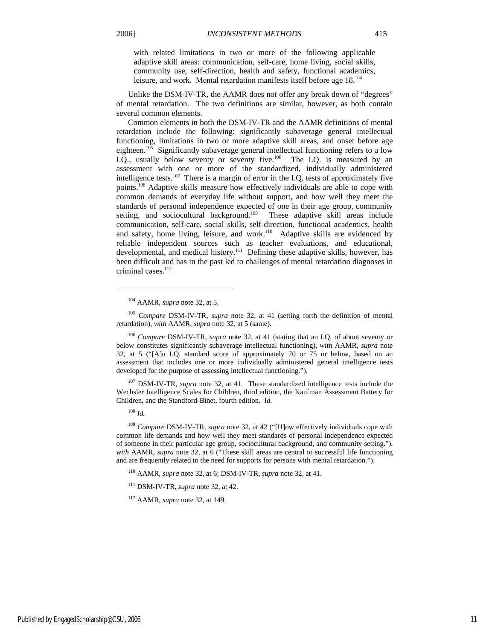with related limitations in two or more of the following applicable adaptive skill areas: communication, self-care, home living, social skills, community use, self-direction, health and safety, functional academics, leisure, and work. Mental retardation manifests itself before age 18.104

Unlike the DSM-IV-TR, the AAMR does not offer any break down of "degrees" of mental retardation. The two definitions are similar, however, as both contain several common elements.

Common elements in both the DSM-IV-TR and the AAMR definitions of mental retardation include the following: significantly subaverage general intellectual functioning, limitations in two or more adaptive skill areas, and onset before age eighteen.<sup>105</sup> Significantly subaverage general intellectual functioning refers to a low I.Q., usually below seventy or seventy five.<sup>106</sup> The I.Q. is measured by an assessment with one or more of the standardized, individually administered intelligence tests.<sup>107</sup> There is a margin of error in the I.Q. tests of approximately five points.108 Adaptive skills measure how effectively individuals are able to cope with common demands of everyday life without support, and how well they meet the standards of personal independence expected of one in their age group, community setting, and sociocultural background.<sup>109</sup> These adaptive skill areas include communication, self-care, social skills, self-direction, functional academics, health and safety, home living, leisure, and work. $110$  Adaptive skills are evidenced by reliable independent sources such as teacher evaluations, and educational, developmental, and medical history.<sup>111</sup> Defining these adaptive skills, however, has been difficult and has in the past led to challenges of mental retardation diagnoses in criminal cases.<sup>112</sup>

<sup>105</sup> *Compare* DSM-IV-TR, *supra* note 32, at 41 (setting forth the definition of mental retardation), *with* AAMR, *supra* note 32, at 5 (same).

<sup>106</sup> *Compare* DSM-IV-TR, *supra* note 32, at 41 (stating that an I.Q. of about seventy or below constitutes significantly subaverage intellectual functioning), *with* AAMR, *supra* note 32, at 5 ("[A]n I.Q. standard score of approximately 70 or 75 or below, based on an assessment that includes one or more individually administered general intelligence tests developed for the purpose of assessing intellectual functioning.").

107 DSM-IV-TR, *supra* note 32, at 41. These standardized intelligence tests include the Wechsler Intelligence Scales for Children, third edition, the Kaufman Assessment Battery for Children, and the Standford-Binet, fourth edition. *Id.* 

1

<sup>109</sup> *Compare* DSM-IV-TR, *supra* note 32, at 42 ("[H]ow effectively individuals cope with common life demands and how well they meet standards of personal independence expected of someone in their particular age group, sociocultural background, and community setting."), *with* AAMR, *supra* note 32, at 6 ("These skill areas are central to successful life functioning and are frequently related to the need for supports for persons with mental retardation.").

110 AAMR, *supra* note 32, at 6; DSM-IV-TR, *supra* note 32, at 41.

111 DSM-IV-TR, *supra* note 32, at 42.

112 AAMR, *supra* note 32, at 149.

<sup>104</sup> AAMR, *supra* note 32, at 5.

<sup>108</sup> *Id.*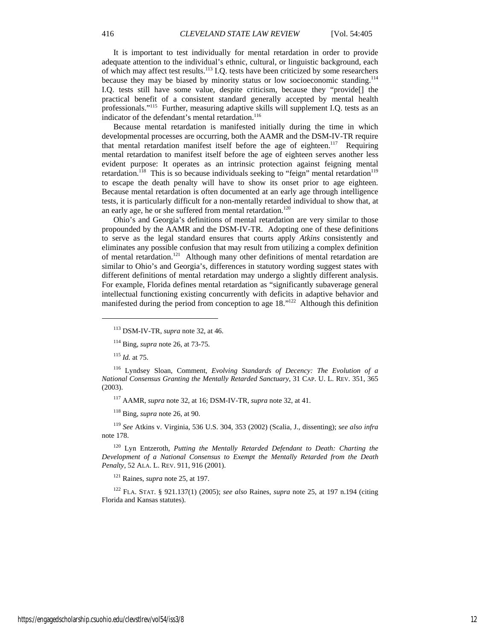It is important to test individually for mental retardation in order to provide adequate attention to the individual's ethnic, cultural, or linguistic background, each of which may affect test results.<sup>113</sup> I.Q. tests have been criticized by some researchers because they may be biased by minority status or low socioeconomic standing.<sup>114</sup> I.Q. tests still have some value, despite criticism, because they "provide[] the practical benefit of a consistent standard generally accepted by mental health professionals."115 Further, measuring adaptive skills will supplement I.Q. tests as an indicator of the defendant's mental retardation.<sup>116</sup>

Because mental retardation is manifested initially during the time in which developmental processes are occurring, both the AAMR and the DSM-IV-TR require that mental retardation manifest itself before the age of eighteen.<sup>117</sup> Requiring mental retardation to manifest itself before the age of eighteen serves another less evident purpose: It operates as an intrinsic protection against feigning mental retardation.<sup>118</sup> This is so because individuals seeking to "feign" mental retardation<sup>119</sup> to escape the death penalty will have to show its onset prior to age eighteen. Because mental retardation is often documented at an early age through intelligence tests, it is particularly difficult for a non-mentally retarded individual to show that, at an early age, he or she suffered from mental retardation.<sup>120</sup>

Ohio's and Georgia's definitions of mental retardation are very similar to those propounded by the AAMR and the DSM-IV-TR. Adopting one of these definitions to serve as the legal standard ensures that courts apply *Atkins* consistently and eliminates any possible confusion that may result from utilizing a complex definition of mental retardation.<sup>121</sup> Although many other definitions of mental retardation are similar to Ohio's and Georgia's, differences in statutory wording suggest states with different definitions of mental retardation may undergo a slightly different analysis. For example, Florida defines mental retardation as "significantly subaverage general intellectual functioning existing concurrently with deficits in adaptive behavior and manifested during the period from conception to age 18."122 Although this definition

<sup>115</sup> *Id.* at 75.

j

116 Lyndsey Sloan, Comment, *Evolving Standards of Decency: The Evolution of a National Consensus Granting the Mentally Retarded Sanctuary*, 31 CAP. U. L. REV. 351, 365 (2003).

117 AAMR, *supra* note 32, at 16; DSM-IV-TR, *supra* note 32, at 41.

118 Bing, *supra* note 26, at 90.

<sup>119</sup> *See* Atkins v. Virginia, 536 U.S. 304, 353 (2002) (Scalia, J., dissenting); *see also infra*  note 178.

120 Lyn Entzeroth, *Putting the Mentally Retarded Defendant to Death: Charting the Development of a National Consensus to Exempt the Mentally Retarded from the Death Penalty*, 52 ALA. L. REV. 911, 916 (2001).

121 Raines, *supra* note 25, at 197.

122 FLA. STAT. § 921.137(1) (2005); *see also* Raines, *supra* note 25, at 197 n.194 (citing Florida and Kansas statutes).

<sup>113</sup> DSM-IV-TR, *supra* note 32, at 46.

<sup>114</sup> Bing, *supra* note 26, at 73-75.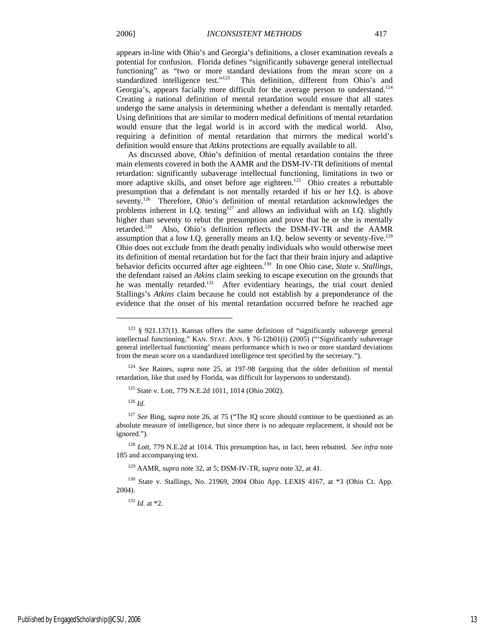appears in-line with Ohio's and Georgia's definitions, a closer examination reveals a potential for confusion. Florida defines "significantly subaverge general intellectual functioning" as "two or more standard deviations from the mean score on a standardized intelligence test."123 This definition, different from Ohio's and Georgia's, appears facially more difficult for the average person to understand.<sup>124</sup> Creating a national definition of mental retardation would ensure that all states undergo the same analysis in determining whether a defendant is mentally retarded. Using definitions that are similar to modern medical definitions of mental retardation would ensure that the legal world is in accord with the medical world. Also, requiring a definition of mental retardation that mirrors the medical world's definition would ensure that *Atkins* protections are equally available to all.

As discussed above, Ohio's definition of mental retardation contains the three main elements covered in both the AAMR and the DSM-IV-TR definitions of mental retardation: significantly subaverage intellectual functioning, limitations in two or more adaptive skills, and onset before age eighteen.<sup>125</sup> Ohio creates a rebuttable presumption that a defendant is not mentally retarded if his or her I.Q. is above seventy.<sup>126</sup> Therefore, Ohio's definition of mental retardation acknowledges the problems inherent in I.Q. testing<sup>127</sup> and allows an individual with an I.Q. slightly higher than seventy to rebut the presumption and prove that he or she is mentally retarded.128 Also, Ohio's definition reflects the DSM-IV-TR and the AAMR assumption that a low I.Q. generally means an I.Q. below seventy or seventy-five.<sup>129</sup> Ohio does not exclude from the death penalty individuals who would otherwise meet its definition of mental retardation but for the fact that their brain injury and adaptive behavior deficits occurred after age eighteen.130 In one Ohio case, *State v. Stallings*, the defendant raised an *Atkins* claim seeking to escape execution on the grounds that he was mentally retarded.<sup>131</sup> After evidentiary hearings, the trial court denied Stallings's *Atkins* claim because he could not establish by a preponderance of the evidence that the onset of his mental retardation occurred before he reached age

<sup>124</sup> *See* Raines, *supra* note 25, at 197-98 (arguing that the older definition of mental retardation, like that used by Florida, was difficult for laypersons to understand).

<sup>126</sup> *Id.*

j

<sup>127</sup> *See* Bing, *supra* note 26, at 75 ("The IQ score should continue to be questioned as an absolute measure of intelligence, but since there is no adequate replacement, it should not be ignored.").

<sup>128</sup> *Lott*, 779 N.E.2d at 1014. This presumption has, in fact, been rebutted. *See infra* note 185 and accompanying text.

129 AAMR, *supra* note 32, at 5; DSM-IV-TR, *supra* note 32, at 41.

130 State v. Stallings, No. 21969, 2004 Ohio App. LEXIS 4167, at \*3 (Ohio Ct. App. 2004).

<sup>131</sup> *Id.* at \*2.

 $123 \& 921.137(1)$ . Kansas offers the same definition of "significantly subaverge general intellectual functioning." KAN. STAT. ANN. § 76-12b01(i) (2005) ("'Significantly subaverage general intellectual functioning' means performance which is two or more standard deviations from the mean score on a standardized intelligence test specified by the secretary.").

<sup>125</sup> State v. Lott, 779 N.E.2d 1011, 1014 (Ohio 2002).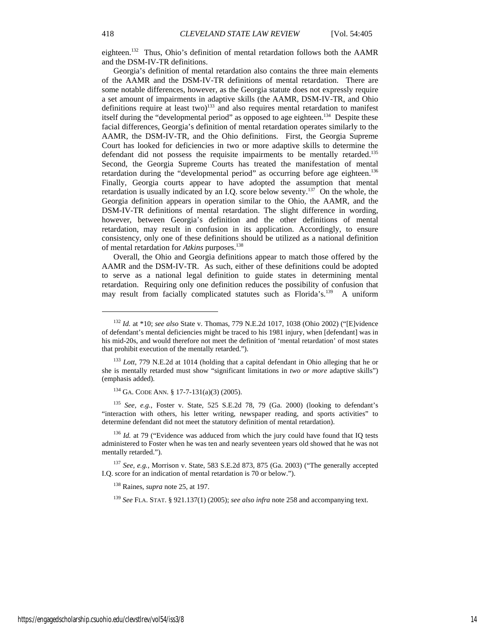eighteen.132 Thus, Ohio's definition of mental retardation follows both the AAMR and the DSM-IV-TR definitions.

Georgia's definition of mental retardation also contains the three main elements of the AAMR and the DSM-IV-TR definitions of mental retardation. There are some notable differences, however, as the Georgia statute does not expressly require a set amount of impairments in adaptive skills (the AAMR, DSM-IV-TR, and Ohio definitions require at least two)<sup>133</sup> and also requires mental retardation to manifest itself during the "developmental period" as opposed to age eighteen.<sup>134</sup> Despite these facial differences, Georgia's definition of mental retardation operates similarly to the AAMR, the DSM-IV-TR, and the Ohio definitions. First, the Georgia Supreme Court has looked for deficiencies in two or more adaptive skills to determine the defendant did not possess the requisite impairments to be mentally retarded.<sup>135</sup> Second, the Georgia Supreme Courts has treated the manifestation of mental retardation during the "developmental period" as occurring before age eighteen.<sup>136</sup> Finally, Georgia courts appear to have adopted the assumption that mental retardation is usually indicated by an I.Q. score below seventy.<sup>137</sup> On the whole, the Georgia definition appears in operation similar to the Ohio, the AAMR, and the DSM-IV-TR definitions of mental retardation. The slight difference in wording, however, between Georgia's definition and the other definitions of mental retardation, may result in confusion in its application. Accordingly, to ensure consistency, only one of these definitions should be utilized as a national definition of mental retardation for *Atkins* purposes.138

Overall, the Ohio and Georgia definitions appear to match those offered by the AAMR and the DSM-IV-TR. As such, either of these definitions could be adopted to serve as a national legal definition to guide states in determining mental retardation. Requiring only one definition reduces the possibility of confusion that may result from facially complicated statutes such as Florida's.<sup>139</sup> A uniform

<sup>135</sup> *See, e.g.*, Foster v. State, 525 S.E.2d 78, 79 (Ga. 2000) (looking to defendant's "interaction with others, his letter writing, newspaper reading, and sports activities" to determine defendant did not meet the statutory definition of mental retardation).

<sup>136</sup> *Id.* at 79 ("Evidence was adduced from which the jury could have found that IQ tests administered to Foster when he was ten and nearly seventeen years old showed that he was not mentally retarded.").

<sup>137</sup> *See, e.g.*, Morrison v. State, 583 S.E.2d 873, 875 (Ga. 2003) ("The generally accepted I.Q. score for an indication of mental retardation is 70 or below.").

138 Raines, *supra* note 25, at 197.

<sup>139</sup> *See* FLA. STAT. § 921.137(1) (2005); *see also infra* note 258 and accompanying text.

j

<sup>132</sup> *Id.* at \*10; *see also* State v. Thomas, 779 N.E.2d 1017, 1038 (Ohio 2002) ("[E]vidence of defendant's mental deficiencies might be traced to his 1981 injury, when [defendant] was in his mid-20s, and would therefore not meet the definition of 'mental retardation' of most states that prohibit execution of the mentally retarded.").

<sup>133</sup> *Lott*, 779 N.E.2d at 1014 (holding that a capital defendant in Ohio alleging that he or she is mentally retarded must show "significant limitations in *two or more* adaptive skills") (emphasis added).

<sup>134</sup> GA. CODE ANN. § 17-7-131(a)(3) (2005).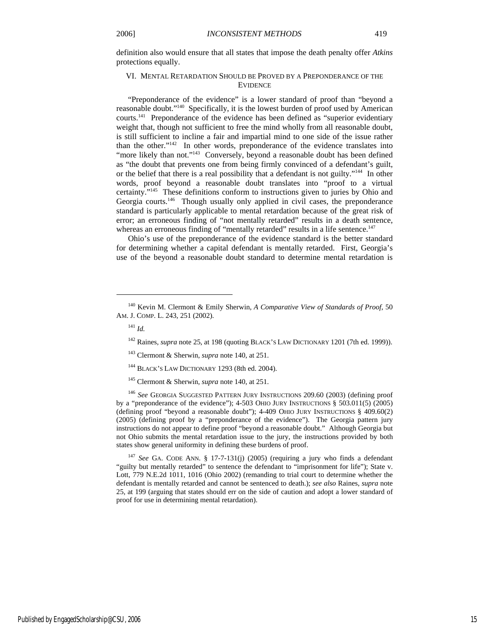definition also would ensure that all states that impose the death penalty offer *Atkins* protections equally.

#### VI. MENTAL RETARDATION SHOULD BE PROVED BY A PREPONDERANCE OF THE EVIDENCE

"Preponderance of the evidence" is a lower standard of proof than "beyond a reasonable doubt."140 Specifically, it is the lowest burden of proof used by American courts.141 Preponderance of the evidence has been defined as "superior evidentiary weight that, though not sufficient to free the mind wholly from all reasonable doubt, is still sufficient to incline a fair and impartial mind to one side of the issue rather than the other."142 In other words, preponderance of the evidence translates into "more likely than not."<sup>143</sup> Conversely, beyond a reasonable doubt has been defined as "the doubt that prevents one from being firmly convinced of a defendant's guilt, or the belief that there is a real possibility that a defendant is not guilty."144 In other words, proof beyond a reasonable doubt translates into "proof to a virtual certainty."145 These definitions conform to instructions given to juries by Ohio and Georgia courts.<sup>146</sup> Though usually only applied in civil cases, the preponderance standard is particularly applicable to mental retardation because of the great risk of error; an erroneous finding of "not mentally retarded" results in a death sentence, whereas an erroneous finding of "mentally retarded" results in a life sentence.<sup>147</sup>

Ohio's use of the preponderance of the evidence standard is the better standard for determining whether a capital defendant is mentally retarded. First, Georgia's use of the beyond a reasonable doubt standard to determine mental retardation is

1

<sup>146</sup> *See* GEORGIA SUGGESTED PATTERN JURY INSTRUCTIONS 209.60 (2003) (defining proof by a "preponderance of the evidence"); 4-503 OHIO JURY INSTRUCTIONS § 503.011(5) (2005) (defining proof "beyond a reasonable doubt"); 4-409 OHIO JURY INSTRUCTIONS § 409.60(2) (2005) (defining proof by a "preponderance of the evidence"). The Georgia pattern jury instructions do not appear to define proof "beyond a reasonable doubt." Although Georgia but not Ohio submits the mental retardation issue to the jury, the instructions provided by both states show general uniformity in defining these burdens of proof.

<sup>147</sup> *See* GA. CODE ANN. § 17-7-131(j) (2005) (requiring a jury who finds a defendant "guilty but mentally retarded" to sentence the defendant to "imprisonment for life"); State v. Lott, 779 N.E.2d 1011, 1016 (Ohio 2002) (remanding to trial court to determine whether the defendant is mentally retarded and cannot be sentenced to death.); *see also* Raines, *supra* note 25, at 199 (arguing that states should err on the side of caution and adopt a lower standard of proof for use in determining mental retardation).

<sup>140</sup> Kevin M. Clermont & Emily Sherwin, *A Comparative View of Standards of Proof*, 50 AM. J. COMP. L. 243, 251 (2002).

<sup>141</sup> *Id.* 

<sup>&</sup>lt;sup>142</sup> Raines, *supra* note 25, at 198 (quoting BLACK'S LAW DICTIONARY 1201 (7th ed. 1999)).

<sup>143</sup> Clermont & Sherwin, *supra* note 140, at 251.

<sup>&</sup>lt;sup>144</sup> BLACK'S LAW DICTIONARY 1293 (8th ed. 2004).

<sup>145</sup> Clermont & Sherwin, *supra* note 140, at 251.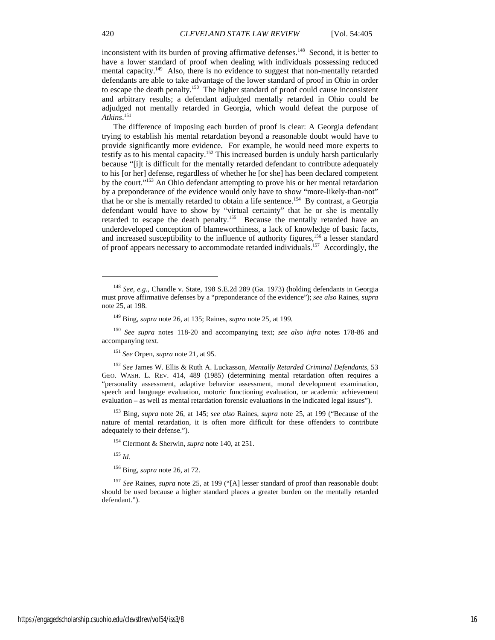inconsistent with its burden of proving affirmative defenses.<sup>148</sup> Second, it is better to have a lower standard of proof when dealing with individuals possessing reduced mental capacity.<sup>149</sup> Also, there is no evidence to suggest that non-mentally retarded defendants are able to take advantage of the lower standard of proof in Ohio in order to escape the death penalty.<sup>150</sup> The higher standard of proof could cause inconsistent and arbitrary results; a defendant adjudged mentally retarded in Ohio could be adjudged not mentally retarded in Georgia, which would defeat the purpose of *Atkins*. 151

The difference of imposing each burden of proof is clear: A Georgia defendant trying to establish his mental retardation beyond a reasonable doubt would have to provide significantly more evidence. For example, he would need more experts to testify as to his mental capacity.152 This increased burden is unduly harsh particularly because "[i]t is difficult for the mentally retarded defendant to contribute adequately to his [or her] defense, regardless of whether he [or she] has been declared competent by the court."153 An Ohio defendant attempting to prove his or her mental retardation by a preponderance of the evidence would only have to show "more-likely-than-not" that he or she is mentally retarded to obtain a life sentence.<sup>154</sup> By contrast, a Georgia defendant would have to show by "virtual certainty" that he or she is mentally retarded to escape the death penalty.<sup>155</sup> Because the mentally retarded have an underdeveloped conception of blameworthiness, a lack of knowledge of basic facts, and increased susceptibility to the influence of authority figures,  $156$  a lesser standard of proof appears necessary to accommodate retarded individuals.157 Accordingly, the

<sup>152</sup> *See* James W. Ellis & Ruth A. Luckasson, *Mentally Retarded Criminal Defendants*, 53 GEO. WASH. L. REV. 414, 489 (1985) (determining mental retardation often requires a "personality assessment, adaptive behavior assessment, moral development examination, speech and language evaluation, motoric functioning evaluation, or academic achievement evaluation – as well as mental retardation forensic evaluations in the indicated legal issues").

153 Bing, *supra* note 26, at 145; *see also* Raines, *supra* note 25, at 199 ("Because of the nature of mental retardation, it is often more difficult for these offenders to contribute adequately to their defense.").

154 Clermont & Sherwin, *supra* note 140, at 251.

<sup>155</sup> *Id.*

156 Bing, *supra* note 26, at 72.

<sup>157</sup> *See* Raines, *supra* note 25, at 199 ("[A] lesser standard of proof than reasonable doubt should be used because a higher standard places a greater burden on the mentally retarded defendant.").

j

<sup>148</sup> *See, e.g.,* Chandle v. State, 198 S.E.2d 289 (Ga. 1973) (holding defendants in Georgia must prove affirmative defenses by a "preponderance of the evidence"); *See also* Raines, *supra* note 25, at 198.

<sup>149</sup> Bing, *supra* note 26, at 135; Raines, *supra* note 25, at 199.

<sup>150</sup> *See supra* notes 118-20 and accompanying text; *see also infra* notes 178-86 and accompanying text.

<sup>151</sup> *See* Orpen, *supra* note 21, at 95.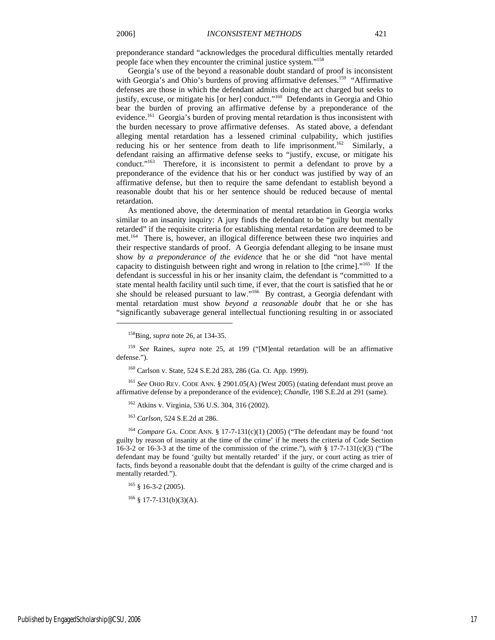preponderance standard "acknowledges the procedural difficulties mentally retarded people face when they encounter the criminal justice system."158

Georgia's use of the beyond a reasonable doubt standard of proof is inconsistent with Georgia's and Ohio's burdens of proving affirmative defenses.<sup>159</sup> "Affirmative defenses are those in which the defendant admits doing the act charged but seeks to justify, excuse, or mitigate his [or her] conduct."<sup>160</sup> Defendants in Georgia and Ohio bear the burden of proving an affirmative defense by a preponderance of the evidence.<sup>161</sup> Georgia's burden of proving mental retardation is thus inconsistent with the burden necessary to prove affirmative defenses. As stated above, a defendant alleging mental retardation has a lessened criminal culpability, which justifies reducing his or her sentence from death to life imprisonment.<sup>162</sup> Similarly, a defendant raising an affirmative defense seeks to "justify, excuse, or mitigate his conduct."163 Therefore, it is inconsistent to permit a defendant to prove by a preponderance of the evidence that his or her conduct was justified by way of an affirmative defense, but then to require the same defendant to establish beyond a reasonable doubt that his or her sentence should be reduced because of mental retardation.

As mentioned above, the determination of mental retardation in Georgia works similar to an insanity inquiry: A jury finds the defendant to be "guilty but mentally retarded" if the requisite criteria for establishing mental retardation are deemed to be met.164 There is, however, an illogical difference between these two inquiries and their respective standards of proof. A Georgia defendant alleging to be insane must show *by a preponderance of the evidence* that he or she did "not have mental capacity to distinguish between right and wrong in relation to [the crime]."165 If the defendant is successful in his or her insanity claim, the defendant is "committed to a state mental health facility until such time, if ever, that the court is satisfied that he or she should be released pursuant to law."166 By contrast, a Georgia defendant with mental retardation must show *beyond a reasonable doubt* that he or she has "significantly subaverage general intellectual functioning resulting in or associated

j

<sup>159</sup> *See* Raines, *supra* note 25, at 199 ("[M]ental retardation will be an affirmative defense.").

160 Carlson v. State, 524 S.E.2d 283, 286 (Ga. Ct. App. 1999).

<sup>161</sup> *See* OHIO REV. CODE ANN. § 2901.05(A) (West 2005) (stating defendant must prove an affirmative defense by a preponderance of the evidence); *Chandle*, 198 S.E.2d at 291 (same).

162 Atkins v. Virginia, 536 U.S. 304, 316 (2002).

<sup>163</sup> *Carlson*, 524 S.E.2d at 286.

<sup>164</sup> *Compare* GA. CODE ANN. § 17-7-131(c)(1) (2005) ("The defendant may be found 'not guilty by reason of insanity at the time of the crime' if he meets the criteria of Code Section 16-3-2 or 16-3-3 at the time of the commission of the crime."), *with* § 17-7-131(c)(3) ("The defendant may be found 'guilty but mentally retarded' if the jury, or court acting as trier of facts, finds beyond a reasonable doubt that the defendant is guilty of the crime charged and is mentally retarded.").

 $165$  § 16-3-2 (2005).

 $166 \text{ }$  § 17-7-131(b)(3)(A).

<sup>158</sup>Bing, *supra* note 26, at 134-35.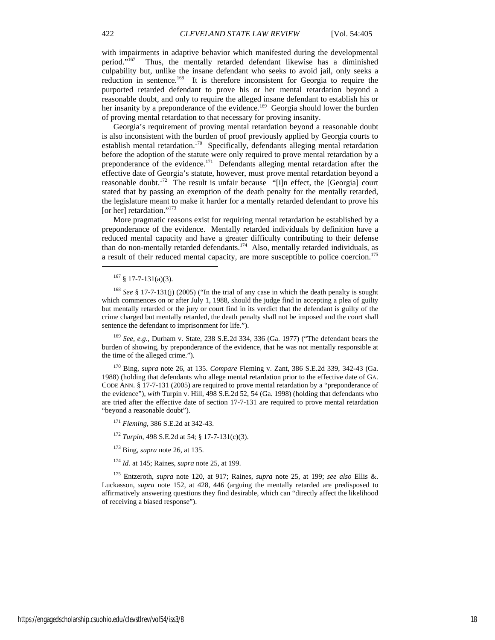with impairments in adaptive behavior which manifested during the developmental period."167 Thus, the mentally retarded defendant likewise has a diminished culpability but, unlike the insane defendant who seeks to avoid jail, only seeks a reduction in sentence.168 It is therefore inconsistent for Georgia to require the purported retarded defendant to prove his or her mental retardation beyond a reasonable doubt, and only to require the alleged insane defendant to establish his or her insanity by a preponderance of the evidence.<sup>169</sup> Georgia should lower the burden of proving mental retardation to that necessary for proving insanity.

Georgia's requirement of proving mental retardation beyond a reasonable doubt is also inconsistent with the burden of proof previously applied by Georgia courts to establish mental retardation.<sup>170</sup> Specifically, defendants alleging mental retardation before the adoption of the statute were only required to prove mental retardation by a preponderance of the evidence.<sup>171</sup> Defendants alleging mental retardation after the effective date of Georgia's statute, however, must prove mental retardation beyond a reasonable doubt.<sup>172</sup> The result is unfair because "[i]n effect, the [Georgia] court stated that by passing an exemption of the death penalty for the mentally retarded, the legislature meant to make it harder for a mentally retarded defendant to prove his [or her] retardation."<sup>173</sup>

More pragmatic reasons exist for requiring mental retardation be established by a preponderance of the evidence. Mentally retarded individuals by definition have a reduced mental capacity and have a greater difficulty contributing to their defense than do non-mentally retarded defendants.174 Also, mentally retarded individuals, as a result of their reduced mental capacity, are more susceptible to police coercion.<sup>175</sup>

j

<sup>168</sup> *See* § 17-7-131(j) (2005) ("In the trial of any case in which the death penalty is sought which commences on or after July 1, 1988, should the judge find in accepting a plea of guilty but mentally retarded or the jury or court find in its verdict that the defendant is guilty of the crime charged but mentally retarded, the death penalty shall not be imposed and the court shall sentence the defendant to imprisonment for life.").

<sup>169</sup> *See, e.g.*, Durham v. State, 238 S.E.2d 334, 336 (Ga. 1977) ("The defendant bears the burden of showing, by preponderance of the evidence, that he was not mentally responsible at the time of the alleged crime.").

170 Bing, *supra* note 26, at 135. *Compare* Fleming v. Zant, 386 S.E.2d 339, 342-43 (Ga. 1988) (holding that defendants who allege mental retardation prior to the effective date of GA. CODE ANN. § 17-7-131 (2005) are required to prove mental retardation by a "preponderance of the evidence"), *with* Turpin v. Hill, 498 S.E.2d 52, 54 (Ga. 1998) (holding that defendants who are tried after the effective date of section 17-7-131 are required to prove mental retardation "beyond a reasonable doubt").

<sup>171</sup> *Fleming*, 386 S.E.2d at 342-43.

<sup>172</sup> *Turpin*, 498 S.E.2d at 54; § 17-7-131(c)(3).

173 Bing, *supra* note 26, at 135.

<sup>174</sup> *Id.* at 145; Raines, *supra* note 25, at 199.

175 Entzeroth, *supra* note 120, at 917; Raines, *supra* note 25, at 199; *see also* Ellis &. Luckasson, *supra* note 152, at 428, 446 (arguing the mentally retarded are predisposed to affirmatively answering questions they find desirable, which can "directly affect the likelihood of receiving a biased response").

https://engagedscholarship.csuohio.edu/clevstlrev/vol54/iss3/8 18

 $167 \S 17 - 7 - 131(a)(3)$ .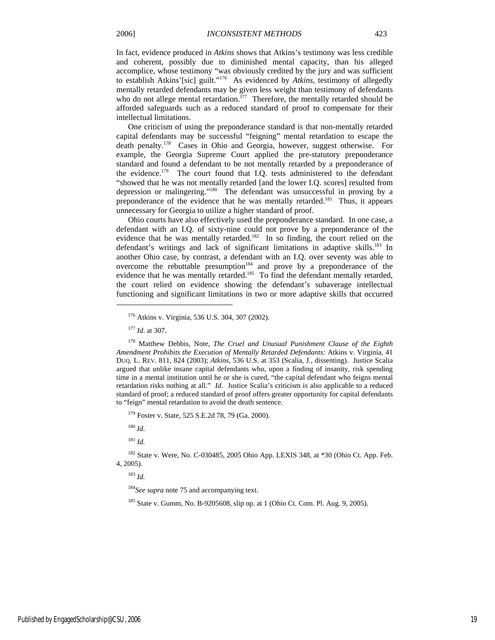In fact, evidence produced in *Atkins* shows that Atkins's testimony was less credible and coherent, possibly due to diminished mental capacity, than his alleged accomplice, whose testimony "was obviously credited by the jury and was sufficient to establish Atkins'[sic] guilt."176 As evidenced by *Atkins*, testimony of allegedly mentally retarded defendants may be given less weight than testimony of defendants who do not allege mental retardation.<sup> $177$ </sup> Therefore, the mentally retarded should be afforded safeguards such as a reduced standard of proof to compensate for their intellectual limitations.

One criticism of using the preponderance standard is that non-mentally retarded capital defendants may be successful "feigning" mental retardation to escape the death penalty.178 Cases in Ohio and Georgia, however, suggest otherwise. For example, the Georgia Supreme Court applied the pre-statutory preponderance standard and found a defendant to be not mentally retarded by a preponderance of the evidence.<sup>179</sup> The court found that I.Q. tests administered to the defendant "showed that he was not mentally retarded [and the lower I.Q. scores] resulted from depression or malingering."180 The defendant was unsuccessful in proving by a preponderance of the evidence that he was mentally retarded.<sup>181</sup> Thus, it appears unnecessary for Georgia to utilize a higher standard of proof.

Ohio courts have also effectively used the preponderance standard. In one case, a defendant with an I.Q. of sixty-nine could not prove by a preponderance of the evidence that he was mentally retarded.<sup>182</sup> In so finding, the court relied on the defendant's writings and lack of significant limitations in adaptive skills.<sup>183</sup> In another Ohio case, by contrast, a defendant with an I.Q. over seventy was able to overcome the rebuttable presumption<sup>184</sup> and prove by a preponderance of the evidence that he was mentally retarded.<sup>185</sup> To find the defendant mentally retarded, the court relied on evidence showing the defendant's subaverage intellectual functioning and significant limitations in two or more adaptive skills that occurred

j

179 Foster v. State, 525 S.E.2d 78, 79 (Ga. 2000).

<sup>180</sup> *Id*.

 $181$  *Id.* 

182 State v. Were, No. C-030485, 2005 Ohio App. LEXIS 348, at \*30 (Ohio Ct. App. Feb. 4, 2005).

<sup>183</sup> *Id.* 

<sup>184</sup>*See supra* note 75 and accompanying text.

185 State v. Gumm, No. B-9205608, slip op. at 1 (Ohio Ct. Com. Pl. Aug. 9, 2005).

<sup>176</sup> Atkins v. Virginia, 536 U.S. 304, 307 (2002).

<sup>177</sup> *Id*. at 307.

<sup>178</sup> Matthew Debbis, Note, *The Cruel and Unusual Punishment Clause of the Eighth Amendment Prohibits the Execution of Mentally Retarded Defendants:* Atkins v. Virginia, 41 DUQ. L. REV. 811, 824 (2003); *Atkins,* 536 U.S. at 353 (Scalia, J., dissenting). Justice Scalia argued that unlike insane capital defendants who, upon a finding of insanity, risk spending time in a mental institution until he or she is cured, "the capital defendant who feigns mental retardation risks nothing at all." *Id.* Justice Scalia's criticism is also applicable to a reduced standard of proof; a reduced standard of proof offers greater opportunity for capital defendants to "feign" mental retardation to avoid the death sentence.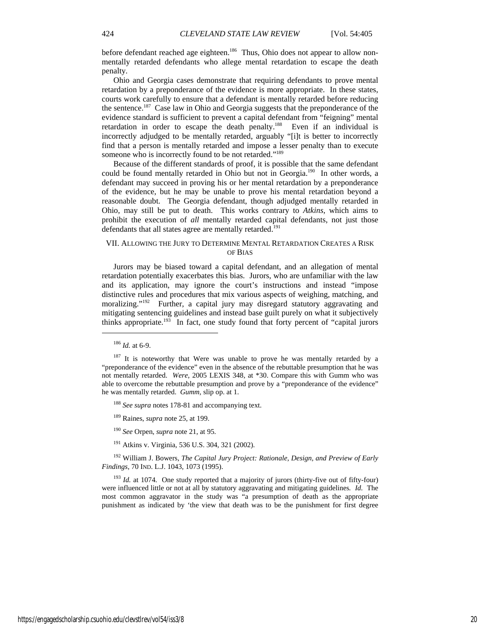before defendant reached age eighteen.<sup>186</sup> Thus, Ohio does not appear to allow nonmentally retarded defendants who allege mental retardation to escape the death penalty.

Ohio and Georgia cases demonstrate that requiring defendants to prove mental retardation by a preponderance of the evidence is more appropriate. In these states, courts work carefully to ensure that a defendant is mentally retarded before reducing the sentence.<sup>187</sup> Case law in Ohio and Georgia suggests that the preponderance of the evidence standard is sufficient to prevent a capital defendant from "feigning" mental retardation in order to escape the death penalty.<sup>188</sup> Even if an individual is incorrectly adjudged to be mentally retarded, arguably "[i]t is better to incorrectly find that a person is mentally retarded and impose a lesser penalty than to execute someone who is incorrectly found to be not retarded."<sup>189</sup>

Because of the different standards of proof, it is possible that the same defendant could be found mentally retarded in Ohio but not in Georgia.<sup>190</sup> In other words, a defendant may succeed in proving his or her mental retardation by a preponderance of the evidence, but he may be unable to prove his mental retardation beyond a reasonable doubt. The Georgia defendant, though adjudged mentally retarded in Ohio, may still be put to death. This works contrary to *Atkins*, which aims to prohibit the execution of *all* mentally retarded capital defendants, not just those defendants that all states agree are mentally retarded.<sup>191</sup>

#### VII. ALLOWING THE JURY TO DETERMINE MENTAL RETARDATION CREATES A RISK OF BIAS

Jurors may be biased toward a capital defendant, and an allegation of mental retardation potentially exacerbates this bias. Jurors, who are unfamiliar with the law and its application, may ignore the court's instructions and instead "impose distinctive rules and procedures that mix various aspects of weighing, matching, and moralizing."<sup>192</sup> Further, a capital jury may disregard statutory aggravating and mitigating sentencing guidelines and instead base guilt purely on what it subjectively thinks appropriate.<sup>193</sup> In fact, one study found that forty percent of "capital jurors"

<sup>186</sup> *Id.* at 6-9.

j

<sup>188</sup> *See supra* notes 178-81 and accompanying text.

189 Raines, *supra* note 25, at 199.

<sup>190</sup> *See* Orpen, *supra* note 21, at 95.

191 Atkins v. Virginia, 536 U.S. 304, 321 (2002).

192 William J. Bowers, *The Capital Jury Project: Rationale, Design, and Preview of Early Findings*, 70 IND. L.J. 1043, 1073 (1995).

<sup>193</sup> *Id.* at 1074. One study reported that a majority of jurors (thirty-five out of fifty-four) were influenced little or not at all by statutory aggravating and mitigating guidelines*. Id.* The most common aggravator in the study was "a presumption of death as the appropriate punishment as indicated by 'the view that death was to be the punishment for first degree

<sup>&</sup>lt;sup>187</sup> It is noteworthy that Were was unable to prove he was mentally retarded by a "preponderance of the evidence" even in the absence of the rebuttable presumption that he was not mentally retarded. *Were*, 2005 LEXIS 348, at \*30. Compare this with Gumm who was able to overcome the rebuttable presumption and prove by a "preponderance of the evidence" he was mentally retarded. *Gumm*, slip op. at 1.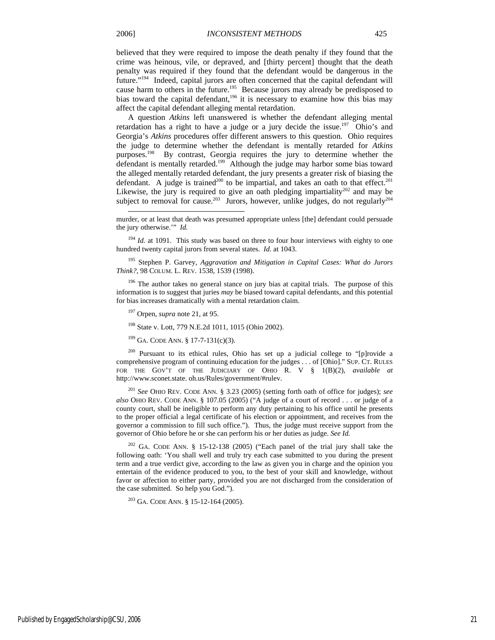l

believed that they were required to impose the death penalty if they found that the crime was heinous, vile, or depraved, and [thirty percent] thought that the death penalty was required if they found that the defendant would be dangerous in the future."194 Indeed, capital jurors are often concerned that the capital defendant will cause harm to others in the future.<sup>195</sup> Because jurors may already be predisposed to bias toward the capital defendant,<sup>196</sup> it is necessary to examine how this bias may affect the capital defendant alleging mental retardation.

A question *Atkins* left unanswered is whether the defendant alleging mental retardation has a right to have a judge or a jury decide the issue.<sup>197</sup> Ohio's and Georgia's *Atkins* procedures offer different answers to this question. Ohio requires the judge to determine whether the defendant is mentally retarded for *Atkins*  purposes.<sup>198</sup> By contrast, Georgia requires the jury to determine whether the defendant is mentally retarded.<sup>199</sup> Although the judge may harbor some bias toward the alleged mentally retarded defendant, the jury presents a greater risk of biasing the defendant. A judge is trained<sup>200</sup> to be impartial, and takes an oath to that effect.<sup>201</sup> Likewise, the jury is required to give an oath pledging impartiality<sup>202</sup> and may be subject to removal for cause.<sup>203</sup> Jurors, however, unlike judges, do not regularly<sup>204</sup>

<sup>194</sup> *Id.* at 1091. This study was based on three to four hour interviews with eighty to one hundred twenty capital jurors from several states. *Id.* at 1043.

195 Stephen P. Garvey, *Aggravation and Mitigation in Capital Cases: What do Jurors Think?*, 98 COLUM. L. REV. 1538, 1539 (1998).

 $196$  The author takes no general stance on jury bias at capital trials. The purpose of this information is to suggest that juries *may* be biased toward capital defendants, and this potential for bias increases dramatically with a mental retardation claim.

197 Orpen, *supra* note 21, at 95.

198 State v. Lott, 779 N.E.2d 1011, 1015 (Ohio 2002).

 $199$  GA. CODE ANN. § 17-7-131(c)(3).

200 Pursuant to its ethical rules, Ohio has set up a judicial college to "[p]rovide a comprehensive program of continuing education for the judges . . . of [Ohio]." SUP. CT. RULES FOR THE GOV'T OF THE JUDICIARY OF OHIO R. V § 1(B)(2), *available at*  http://www.sconet.state. oh.us/Rules/government/#rulev.

<sup>201</sup> *See* OHIO REV. CODE ANN. § 3.23 (2005) (setting forth oath of office for judges); *see also* OHIO REV. CODE ANN. § 107.05 (2005) ("A judge of a court of record . . . or judge of a county court, shall be ineligible to perform any duty pertaining to his office until he presents to the proper official a legal certificate of his election or appointment, and receives from the governor a commission to fill such office."). Thus, the judge must receive support from the governor of Ohio before he or she can perform his or her duties as judge. *See Id.*

 $202$  GA. CODE ANN. § 15-12-138 (2005) ("Each panel of the trial jury shall take the following oath: 'You shall well and truly try each case submitted to you during the present term and a true verdict give, according to the law as given you in charge and the opinion you entertain of the evidence produced to you, to the best of your skill and knowledge, without favor or affection to either party, provided you are not discharged from the consideration of the case submitted. So help you God.").

 $203$  GA. CODE ANN. § 15-12-164 (2005).

murder, or at least that death was presumed appropriate unless [the] defendant could persuade the jury otherwise.'" *Id.*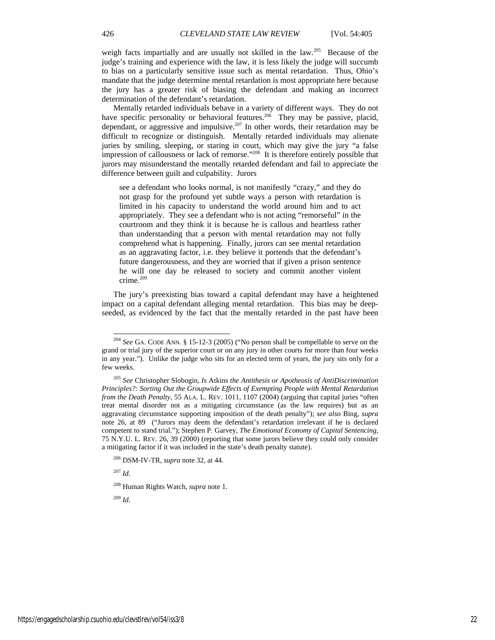weigh facts impartially and are usually not skilled in the law.<sup>205</sup> Because of the judge's training and experience with the law, it is less likely the judge will succumb to bias on a particularly sensitive issue such as mental retardation. Thus, Ohio's mandate that the judge determine mental retardation is most appropriate here because the jury has a greater risk of biasing the defendant and making an incorrect determination of the defendant's retardation.

Mentally retarded individuals behave in a variety of different ways. They do not have specific personality or behavioral features.<sup>206</sup> They may be passive, placid, dependant, or aggressive and impulsive.<sup>207</sup> In other words, their retardation may be difficult to recognize or distinguish. Mentally retarded individuals may alienate juries by smiling, sleeping, or staring in court, which may give the jury "a false impression of callousness or lack of remorse."208 It is therefore entirely possible that jurors may misunderstand the mentally retarded defendant and fail to appreciate the difference between guilt and culpability. Jurors

see a defendant who looks normal, is not manifestly "crazy," and they do not grasp for the profound yet subtle ways a person with retardation is limited in his capacity to understand the world around him and to act appropriately. They see a defendant who is not acting "remorseful" in the courtroom and they think it is because he is callous and heartless rather than understanding that a person with mental retardation may not fully comprehend what is happening. Finally, jurors can see mental retardation as an aggravating factor, i.e. they believe it portends that the defendant's future dangerousness, and they are worried that if given a prison sentence he will one day be released to society and commit another violent crime.<sup>209</sup>

The jury's preexisting bias toward a capital defendant may have a heightened impact on a capital defendant alleging mental retardation. This bias may be deepseeded, as evidenced by the fact that the mentally retarded in the past have been

<sup>207</sup> *Id.*

l

<sup>209</sup> *Id.*

<sup>204</sup> *See* GA. CODE ANN. § 15-12-3 (2005) ("No person shall be compellable to serve on the grand or trial jury of the superior court or on any jury in other courts for more than four weeks in any year."). Unlike the judge who sits for an elected term of years, the jury sits only for a few weeks.

<sup>205</sup> *See* Christopher Slobogin, *Is* Atkins *the Antithesis or Apotheosis of AntiDiscrimination Principles?: Sorting Out the Groupwide Effects of Exempting People with Mental Retardation from the Death Penalty*, 55 ALA. L. REV. 1011, 1107 (2004) (arguing that capital juries "often treat mental disorder not as a mitigating circumstance (as the law requires) but as an aggravating circumstance supporting imposition of the death penalty"); *see also* Bing, *supra*  note 26, at 89 ("Jurors may deem the defendant's retardation irrelevant if he is declared competent to stand trial."); Stephen P. Garvey, *The Emotional Economy of Capital Sentencing*, 75 N.Y.U. L. REV. 26, 39 (2000) (reporting that some jurors believe they could only consider a mitigating factor if it was included in the state's death penalty statute).

<sup>206</sup> DSM-IV-TR, *supra* note 32, at 44.

<sup>208</sup> Human Rights Watch, *supra* note 1.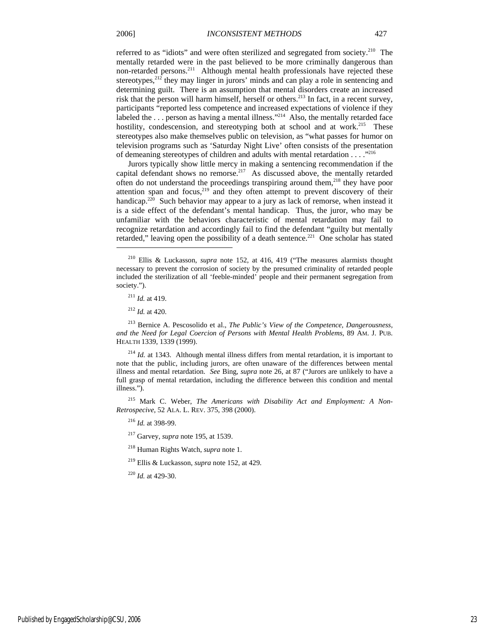referred to as "idiots" and were often sterilized and segregated from society.<sup>210</sup> The mentally retarded were in the past believed to be more criminally dangerous than non-retarded persons.<sup>211</sup> Although mental health professionals have rejected these stereotypes, $2^{12}$  they may linger in jurors' minds and can play a role in sentencing and determining guilt. There is an assumption that mental disorders create an increased risk that the person will harm himself, herself or others.<sup>213</sup> In fact, in a recent survey, participants "reported less competence and increased expectations of violence if they labeled the ... person as having a mental illness."<sup>214</sup> Also, the mentally retarded face hostility, condescension, and stereotyping both at school and at work.<sup>215</sup> These stereotypes also make themselves public on television, as "what passes for humor on television programs such as 'Saturday Night Live' often consists of the presentation of demeaning stereotypes of children and adults with mental retardation . . . ."216

Jurors typically show little mercy in making a sentencing recommendation if the capital defendant shows no remorse.<sup>217</sup> As discussed above, the mentally retarded often do not understand the proceedings transpiring around them,<sup>218</sup> they have poor attention span and focus, $219$  and they often attempt to prevent discovery of their handicap.<sup>220</sup> Such behavior may appear to a jury as lack of remorse, when instead it is a side effect of the defendant's mental handicap. Thus, the juror, who may be unfamiliar with the behaviors characteristic of mental retardation may fail to recognize retardation and accordingly fail to find the defendant "guilty but mentally retarded," leaving open the possibility of a death sentence.<sup>221</sup> One scholar has stated

<sup>211</sup> *Id.* at 419.

1

<sup>212</sup> *Id.* at 420.

213 Bernice A. Pescosolido et al., *The Public's View of the Competence, Dangerousness, and the Need for Legal Coercion of Persons with Mental Health Problems*, 89 AM. J. PUB. HEALTH 1339, 1339 (1999).

215 Mark C. Weber, *The Americans with Disability Act and Employment: A Non-Retrospecive*, 52 ALA. L. REV. 375, 398 (2000).

<sup>216</sup> *Id.* at 398-99.

217 Garvey, *supra* note 195, at 1539.

218 Human Rights Watch, *supra* note 1.

219 Ellis & Luckasson, *supra* note 152, at 429.

<sup>220</sup> *Id.* at 429-30.

<sup>210</sup> Ellis & Luckasson, *supra* note 152, at 416, 419 ("The measures alarmists thought necessary to prevent the corrosion of society by the presumed criminality of retarded people included the sterilization of all 'feeble-minded' people and their permanent segregation from society.").

<sup>&</sup>lt;sup>214</sup> *Id.* at 1343. Although mental illness differs from mental retardation, it is important to note that the public, including jurors, are often unaware of the differences between mental illness and mental retardation. *See* Bing, *supra* note 26, at 87 ("Jurors are unlikely to have a full grasp of mental retardation, including the difference between this condition and mental illness.").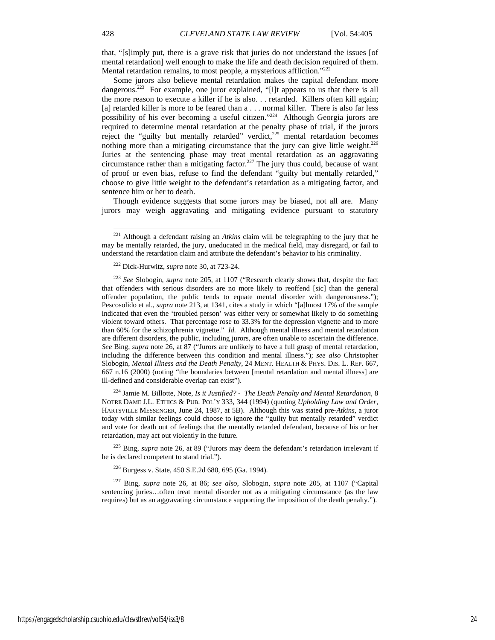that, "[s]imply put, there is a grave risk that juries do not understand the issues [of mental retardation] well enough to make the life and death decision required of them. Mental retardation remains, to most people, a mysterious affliction."<sup>222</sup>

Some jurors also believe mental retardation makes the capital defendant more dangerous.223 For example, one juror explained, "[i]t appears to us that there is all the more reason to execute a killer if he is also. . . retarded. Killers often kill again; [a] retarded killer is more to be feared than a . . . normal killer. There is also far less possibility of his ever becoming a useful citizen."224 Although Georgia jurors are required to determine mental retardation at the penalty phase of trial, if the jurors reject the "guilty but mentally retarded" verdict, $225$  mental retardation becomes nothing more than a mitigating circumstance that the jury can give little weight.<sup>226</sup> Juries at the sentencing phase may treat mental retardation as an aggravating circumstance rather than a mitigating factor.<sup>227</sup> The jury thus could, because of want of proof or even bias, refuse to find the defendant "guilty but mentally retarded," choose to give little weight to the defendant's retardation as a mitigating factor, and sentence him or her to death.

Though evidence suggests that some jurors may be biased, not all are. Many jurors may weigh aggravating and mitigating evidence pursuant to statutory

224 Jamie M. Billotte, Note, *Is it Justified? - The Death Penalty and Mental Retardation*, 8 NOTRE DAME J.L. ETHICS & PUB. POL'Y 333, 344 (1994) (quoting *Upholding Law and Order*, HARTSVILLE MESSENGER, June 24, 1987, at 5B). Although this was stated pre-*Atkins*, a juror today with similar feelings could choose to ignore the "guilty but mentally retarded" verdict and vote for death out of feelings that the mentally retarded defendant, because of his or her retardation, may act out violently in the future.

225 Bing, *supra* note 26, at 89 ("Jurors may deem the defendant's retardation irrelevant if he is declared competent to stand trial.").

226 Burgess v. State, 450 S.E.2d 680, 695 (Ga. 1994).

227 Bing, *supra* note 26, at 86; *see also*, Slobogin, *supra* note 205, at 1107 ("Capital sentencing juries...often treat mental disorder not as a mitigating circumstance (as the law requires) but as an aggravating circumstance supporting the imposition of the death penalty.").

l

<sup>221</sup> Although a defendant raising an *Atkins* claim will be telegraphing to the jury that he may be mentally retarded, the jury, uneducated in the medical field, may disregard, or fail to understand the retardation claim and attribute the defendant's behavior to his criminality.

<sup>222</sup> Dick-Hurwitz, *supra* note 30, at 723-24.

<sup>223</sup> *See* Slobogin, *supra* note 205, at 1107 ("Research clearly shows that, despite the fact that offenders with serious disorders are no more likely to reoffend [sic] than the general offender population, the public tends to equate mental disorder with dangerousness."); Pescosolido et al., *supra* note 213, at 1341, cites a study in which "[a]lmost 17% of the sample indicated that even the 'troubled person' was either very or somewhat likely to do something violent toward others. That percentage rose to 33.3% for the depression vignette and to more than 60% for the schizophrenia vignette." *Id.* Although mental illness and mental retardation are different disorders, the public, including jurors, are often unable to ascertain the difference. *See* Bing, *supra* note 26, at 87 ("Jurors are unlikely to have a full grasp of mental retardation, including the difference between this condition and mental illness."); *see also* Christopher Slobogin, *Mental Illness and the Death Penalty*, 24 MENT. HEALTH & PHYS. DIS. L. REP. 667, 667 n.16 (2000) (noting "the boundaries between [mental retardation and mental illness] are ill-defined and considerable overlap can exist").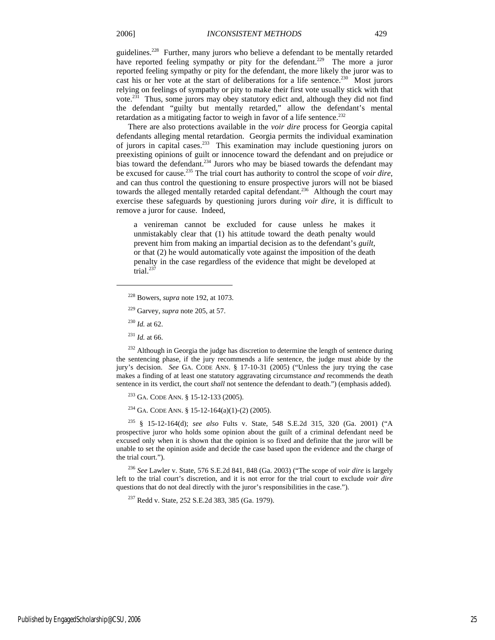guidelines.<sup>228</sup> Further, many jurors who believe a defendant to be mentally retarded have reported feeling sympathy or pity for the defendant.<sup>229</sup> The more a juror reported feeling sympathy or pity for the defendant, the more likely the juror was to cast his or her vote at the start of deliberations for a life sentence.<sup>230</sup> Most jurors relying on feelings of sympathy or pity to make their first vote usually stick with that vote.231 Thus, some jurors may obey statutory edict and, although they did not find the defendant "guilty but mentally retarded," allow the defendant's mental retardation as a mitigating factor to weigh in favor of a life sentence.<sup>232</sup>

There are also protections available in the *voir dire* process for Georgia capital defendants alleging mental retardation. Georgia permits the individual examination of jurors in capital cases.<sup>233</sup> This examination may include questioning jurors on preexisting opinions of guilt or innocence toward the defendant and on prejudice or bias toward the defendant.<sup>234</sup> Jurors who may be biased towards the defendant may be excused for cause.235 The trial court has authority to control the scope of *voir dire*, and can thus control the questioning to ensure prospective jurors will not be biased towards the alleged mentally retarded capital defendant.<sup>236</sup> Although the court may exercise these safeguards by questioning jurors during *voir dire*, it is difficult to remove a juror for cause. Indeed,

a venireman cannot be excluded for cause unless he makes it unmistakably clear that (1) his attitude toward the death penalty would prevent him from making an impartial decision as to the defendant's *guilt*, or that (2) he would automatically vote against the imposition of the death penalty in the case regardless of the evidence that might be developed at trial.<sup>237</sup>

<sup>230</sup> *Id.* at 62.

1

<sup>231</sup> *Id.* at 66.

<sup>232</sup> Although in Georgia the judge has discretion to determine the length of sentence during the sentencing phase, if the jury recommends a life sentence, the judge must abide by the jury's decision. *See* GA. CODE ANN. § 17-10-31 (2005) ("Unless the jury trying the case makes a finding of at least one statutory aggravating circumstance *and* recommends the death sentence in its verdict, the court *shall* not sentence the defendant to death.") (emphasis added).

233 GA. CODE ANN. § 15-12-133 (2005).

<sup>234</sup> GA. CODE ANN. § 15-12-164(a)(1)-(2) (2005).

235 § 15-12-164(d); *see also* Fults v. State, 548 S.E.2d 315, 320 (Ga. 2001) ("A prospective juror who holds some opinion about the guilt of a criminal defendant need be excused only when it is shown that the opinion is so fixed and definite that the juror will be unable to set the opinion aside and decide the case based upon the evidence and the charge of the trial court.").

<sup>236</sup> *See* Lawler v. State, 576 S.E.2d 841, 848 (Ga. 2003) ("The scope of *voir dire* is largely left to the trial court's discretion, and it is not error for the trial court to exclude *voir dire* questions that do not deal directly with the juror's responsibilities in the case.").

<sup>237</sup> Redd v. State, 252 S.E.2d 383, 385 (Ga. 1979).

<sup>228</sup> Bowers, *supra* note 192, at 1073.

<sup>229</sup> Garvey, *supra* note 205, at 57.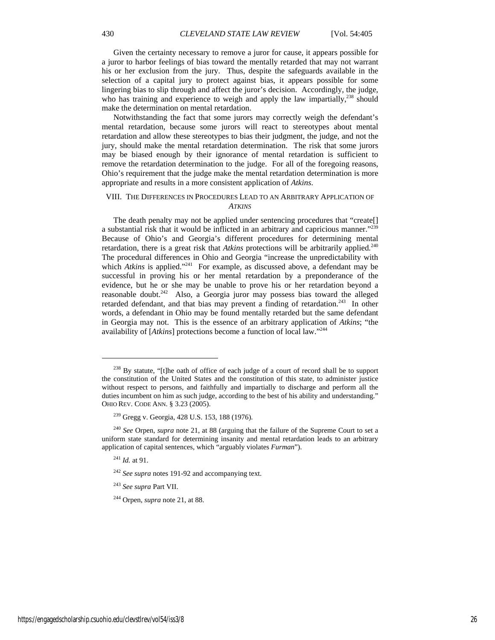Given the certainty necessary to remove a juror for cause, it appears possible for a juror to harbor feelings of bias toward the mentally retarded that may not warrant his or her exclusion from the jury. Thus, despite the safeguards available in the selection of a capital jury to protect against bias, it appears possible for some lingering bias to slip through and affect the juror's decision. Accordingly, the judge, who has training and experience to weigh and apply the law impartially, $^{238}$  should make the determination on mental retardation.

Notwithstanding the fact that some jurors may correctly weigh the defendant's mental retardation, because some jurors will react to stereotypes about mental retardation and allow these stereotypes to bias their judgment, the judge, and not the jury, should make the mental retardation determination. The risk that some jurors may be biased enough by their ignorance of mental retardation is sufficient to remove the retardation determination to the judge. For all of the foregoing reasons, Ohio's requirement that the judge make the mental retardation determination is more appropriate and results in a more consistent application of *Atkins*.

#### VIII. THE DIFFERENCES IN PROCEDURES LEAD TO AN ARBITRARY APPLICATION OF *ATKINS*

The death penalty may not be applied under sentencing procedures that "create[] a substantial risk that it would be inflicted in an arbitrary and capricious manner."239 Because of Ohio's and Georgia's different procedures for determining mental retardation, there is a great risk that *Atkins* protections will be arbitrarily applied*.* 240 The procedural differences in Ohio and Georgia "increase the unpredictability with which *Atkins* is applied."<sup>241</sup> For example, as discussed above, a defendant may be successful in proving his or her mental retardation by a preponderance of the evidence, but he or she may be unable to prove his or her retardation beyond a reasonable doubt.<sup>242</sup> Also, a Georgia juror may possess bias toward the alleged retarded defendant, and that bias may prevent a finding of retardation.<sup>243</sup> In other words, a defendant in Ohio may be found mentally retarded but the same defendant in Georgia may not. This is the essence of an arbitrary application of *Atkins*; "the availability of [*Atkins*] protections become a function of local law."244

j

 $238$  By statute, "[t]he oath of office of each judge of a court of record shall be to support the constitution of the United States and the constitution of this state, to administer justice without respect to persons, and faithfully and impartially to discharge and perform all the duties incumbent on him as such judge, according to the best of his ability and understanding." OHIO REV. CODE ANN. § 3.23 (2005).

<sup>239</sup> Gregg v. Georgia, 428 U.S. 153, 188 (1976).

<sup>240</sup> *See* Orpen, *supra* note 21, at 88 (arguing that the failure of the Supreme Court to set a uniform state standard for determining insanity and mental retardation leads to an arbitrary application of capital sentences, which "arguably violates *Furman*").

<sup>241</sup> *Id.* at 91.

<sup>242</sup> *See supra* notes 191-92 and accompanying text.

<sup>243</sup> *See supra* Part VII.

<sup>244</sup> Orpen, *supra* note 21, at 88.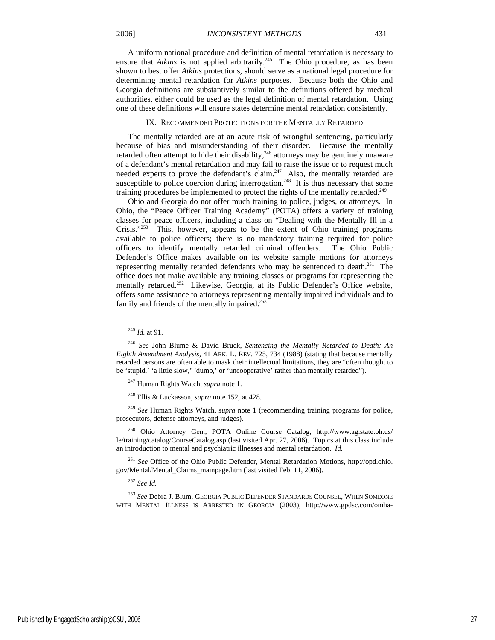A uniform national procedure and definition of mental retardation is necessary to ensure that *Atkins* is not applied arbitrarily.<sup>245</sup> The Ohio procedure, as has been shown to best offer *Atkins* protections, should serve as a national legal procedure for determining mental retardation for *Atkins* purposes. Because both the Ohio and Georgia definitions are substantively similar to the definitions offered by medical authorities, either could be used as the legal definition of mental retardation. Using one of these definitions will ensure states determine mental retardation consistently.

#### IX. RECOMMENDED PROTECTIONS FOR THE MENTALLY RETARDED

The mentally retarded are at an acute risk of wrongful sentencing, particularly because of bias and misunderstanding of their disorder. Because the mentally retarded often attempt to hide their disability, $246$  attorneys may be genuinely unaware of a defendant's mental retardation and may fail to raise the issue or to request much needed experts to prove the defendant's claim.<sup>247</sup> Also, the mentally retarded are susceptible to police coercion during interrogation.<sup>248</sup> It is thus necessary that some training procedures be implemented to protect the rights of the mentally retarded.<sup>249</sup>

Ohio and Georgia do not offer much training to police, judges, or attorneys. In Ohio, the "Peace Officer Training Academy" (POTA) offers a variety of training classes for peace officers, including a class on "Dealing with the Mentally Ill in a Crisis."250 This, however, appears to be the extent of Ohio training programs available to police officers; there is no mandatory training required for police officers to identify mentally retarded criminal offenders. The Ohio Public Defender's Office makes available on its website sample motions for attorneys representing mentally retarded defendants who may be sentenced to death.251 The office does not make available any training classes or programs for representing the mentally retarded.<sup>252</sup> Likewise, Georgia, at its Public Defender's Office website, offers some assistance to attorneys representing mentally impaired individuals and to family and friends of the mentally impaired.<sup>253</sup>

j

247 Human Rights Watch, *supra* note 1.

248 Ellis & Luckasson, *supra* note 152, at 428.

<sup>249</sup> *See* Human Rights Watch, *supra* note 1 (recommending training programs for police, prosecutors, defense attorneys, and judges).

250 Ohio Attorney Gen., POTA Online Course Catalog, http://www.ag.state.oh.us/ le/training/catalog/CourseCatalog.asp (last visited Apr. 27, 2006). Topics at this class include an introduction to mental and psychiatric illnesses and mental retardation. *Id.*

<sup>251</sup> *See* Office of the Ohio Public Defender, Mental Retardation Motions, http://opd.ohio. gov/Mental/Mental\_Claims\_mainpage.htm (last visited Feb. 11, 2006).

<sup>252</sup> *See Id.*

<sup>253</sup> *See* Debra J. Blum, GEORGIA PUBLIC DEFENDER STANDARDS COUNSEL, WHEN SOMEONE WITH MENTAL ILLNESS IS ARRESTED IN GEORGIA (2003), http://www.gpdsc.com/omha-

<sup>245</sup> *Id.* at 91.

<sup>246</sup> *See* John Blume & David Bruck, *Sentencing the Mentally Retarded to Death: An Eighth Amendment Analysis*, 41 ARK. L. REV. 725, 734 (1988) (stating that because mentally retarded persons are often able to mask their intellectual limitations, they are "often thought to be 'stupid,' 'a little slow,' 'dumb,' or 'uncooperative' rather than mentally retarded").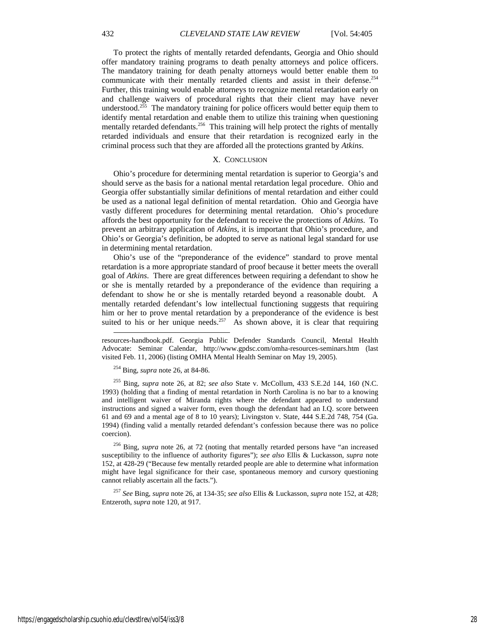To protect the rights of mentally retarded defendants, Georgia and Ohio should offer mandatory training programs to death penalty attorneys and police officers. The mandatory training for death penalty attorneys would better enable them to communicate with their mentally retarded clients and assist in their defense.<sup>254</sup> Further, this training would enable attorneys to recognize mental retardation early on and challenge waivers of procedural rights that their client may have never understood.<sup>255</sup> The mandatory training for police officers would better equip them to identify mental retardation and enable them to utilize this training when questioning mentally retarded defendants.<sup>256</sup> This training will help protect the rights of mentally retarded individuals and ensure that their retardation is recognized early in the criminal process such that they are afforded all the protections granted by *Atkins*.

#### X. CONCLUSION

Ohio's procedure for determining mental retardation is superior to Georgia's and should serve as the basis for a national mental retardation legal procedure. Ohio and Georgia offer substantially similar definitions of mental retardation and either could be used as a national legal definition of mental retardation. Ohio and Georgia have vastly different procedures for determining mental retardation. Ohio's procedure affords the best opportunity for the defendant to receive the protections of *Atkins*. To prevent an arbitrary application of *Atkins*, it is important that Ohio's procedure, and Ohio's or Georgia's definition, be adopted to serve as national legal standard for use in determining mental retardation.

Ohio's use of the "preponderance of the evidence" standard to prove mental retardation is a more appropriate standard of proof because it better meets the overall goal of *Atkins*. There are great differences between requiring a defendant to show he or she is mentally retarded by a preponderance of the evidence than requiring a defendant to show he or she is mentally retarded beyond a reasonable doubt. A mentally retarded defendant's low intellectual functioning suggests that requiring him or her to prove mental retardation by a preponderance of the evidence is best suited to his or her unique needs.<sup>257</sup> As shown above, it is clear that requiring l

254 Bing, *supra* note 26, at 84-86.

255 Bing, *supra* note 26, at 82; *see also* State v. McCollum, 433 S.E.2d 144, 160 (N.C. 1993) (holding that a finding of mental retardation in North Carolina is no bar to a knowing and intelligent waiver of Miranda rights where the defendant appeared to understand instructions and signed a waiver form, even though the defendant had an I.Q. score between 61 and 69 and a mental age of 8 to 10 years); Livingston v. State, 444 S.E.2d 748, 754 (Ga. 1994) (finding valid a mentally retarded defendant's confession because there was no police coercion).

256 Bing, *supra* note 26, at 72 (noting that mentally retarded persons have "an increased susceptibility to the influence of authority figures"); *see also* Ellis & Luckasson, *supra* note 152, at 428-29 ("Because few mentally retarded people are able to determine what information might have legal significance for their case, spontaneous memory and cursory questioning cannot reliably ascertain all the facts.").

<sup>257</sup> *See* Bing, *supra* note 26, at 134-35; *see also* Ellis & Luckasson, *supra* note 152, at 428; Entzeroth, *supra* note 120, at 917.

resources-handbook.pdf. Georgia Public Defender Standards Council, Mental Health Advocate: Seminar Calendar, http://www.gpdsc.com/omha-resources-seminars.htm (last visited Feb. 11, 2006) (listing OMHA Mental Health Seminar on May 19, 2005).